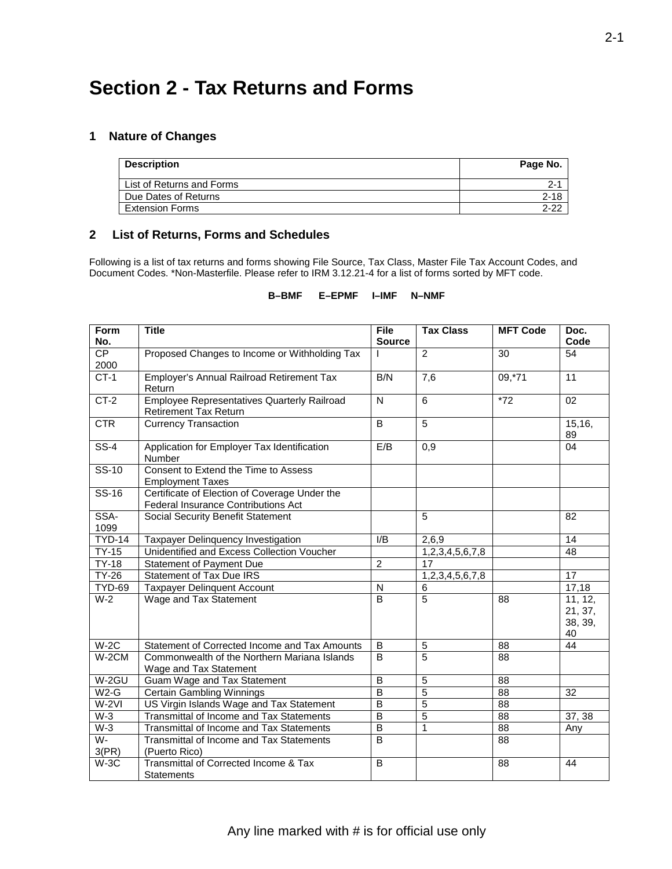## **1 Nature of Changes**

|   | Section 2 - Tax Returns and Forms |          |  |  |  |  |  |
|---|-----------------------------------|----------|--|--|--|--|--|
| 1 | <b>Nature of Changes</b>          |          |  |  |  |  |  |
|   | <b>Description</b>                | Page No. |  |  |  |  |  |
|   | List of Returns and Forms         | $2 - 1$  |  |  |  |  |  |
|   | Due Dates of Returns              | $2 - 18$ |  |  |  |  |  |
|   | <b>Extension Forms</b>            | $2 - 22$ |  |  |  |  |  |

#### **List of Returns, Forms and Schedules**

 Following is a list of tax returns and forms showing File Source, Tax Class, Master File Tax Account Codes, and Document Codes. \*Non-Masterfile. Please refer to IRM 3.12.21-4 for a list of forms sorted by MFT code.

## **B–BMF E–EPMF I–IMF N–NMF**

| Form               | <b>Title</b>                                                                         | <b>File</b>    | <b>Tax Class</b> | <b>MFT Code</b> | Doc.            |
|--------------------|--------------------------------------------------------------------------------------|----------------|------------------|-----------------|-----------------|
| No.                |                                                                                      | <b>Source</b>  |                  |                 | Code            |
| CP                 | Proposed Changes to Income or Withholding Tax                                        |                | $\overline{2}$   | 30              | 54              |
| 2000               |                                                                                      |                |                  |                 |                 |
| $CT-1$             | Employer's Annual Railroad Retirement Tax                                            | B/N            | 7,6              | 09,71           | 11              |
|                    | Return                                                                               |                |                  |                 |                 |
| $CT-2$             | <b>Employee Representatives Quarterly Railroad</b>                                   | $\mathsf{N}$   | 6                | $*72$           | 02              |
|                    | <b>Retirement Tax Return</b>                                                         |                |                  |                 |                 |
| CTR                | <b>Currency Transaction</b>                                                          | B              | $\overline{5}$   |                 | 15,16,<br>89    |
| $SS-4$             | Application for Employer Tax Identification<br>Number                                | E/B            | 0,9              |                 | 04              |
| $SS-10$            | Consent to Extend the Time to Assess                                                 |                |                  |                 |                 |
| $SS-16$            | <b>Employment Taxes</b>                                                              |                |                  |                 |                 |
|                    | Certificate of Election of Coverage Under the<br>Federal Insurance Contributions Act |                |                  |                 |                 |
| SSA-               | Social Security Benefit Statement                                                    |                | 5                |                 | 82              |
| 1099               |                                                                                      |                |                  |                 |                 |
| <b>TYD-14</b>      | Taxpayer Delinquency Investigation                                                   | I/B            | 2.6.9            |                 | 14              |
| <b>TY-15</b>       | Unidentified and Excess Collection Voucher                                           |                | 1,2,3,4,5,6,7,8  |                 | 48              |
| <b>TY-18</b>       | Statement of Payment Due                                                             | $\overline{2}$ | 17               |                 |                 |
| $\overline{TY-26}$ | <b>Statement of Tax Due IRS</b>                                                      |                | 1,2,3,4,5,6,7,8  |                 | $\overline{17}$ |
| <b>TYD-69</b>      | <b>Taxpayer Delinquent Account</b>                                                   | N              | 6                |                 | 17,18           |
| $W-2$              | Wage and Tax Statement                                                               | B              | $\overline{5}$   | 88              | 11, 12,         |
|                    |                                                                                      |                |                  |                 | 21, 37,         |
|                    |                                                                                      |                |                  |                 | 38, 39,         |
|                    |                                                                                      |                |                  |                 | 40              |
| $W-2C$             | Statement of Corrected Income and Tax Amounts                                        | B              | 5                | 88              | 44              |
| $W-2CM$            | Commonwealth of the Northern Mariana Islands                                         | B              | 5                | 88              |                 |
|                    | Wage and Tax Statement                                                               |                |                  |                 |                 |
| $W-2GU$            | Guam Wage and Tax Statement                                                          | B              | 5                | 88              |                 |
| $W2-G$             | Certain Gambling Winnings                                                            | B              | $\overline{5}$   | 88              | 32              |
| $W-2VI$            | US Virgin Islands Wage and Tax Statement                                             | B              | $\overline{5}$   | 88              |                 |
| $W-3$              | Transmittal of Income and Tax Statements                                             | B              | $\overline{5}$   | 88              | 37, 38          |
| $W-3$              | Transmittal of Income and Tax Statements                                             | $\overline{B}$ | $\mathbf{1}$     | 88              | Any             |
| $W -$              | Transmittal of Income and Tax Statements                                             | B              |                  | 88              |                 |
| 3(PR)              | (Puerto Rico)                                                                        |                |                  |                 |                 |
| $W-3C$             | Transmittal of Corrected Income & Tax                                                | B              |                  | 88              | 44              |
|                    | Statements                                                                           |                |                  |                 |                 |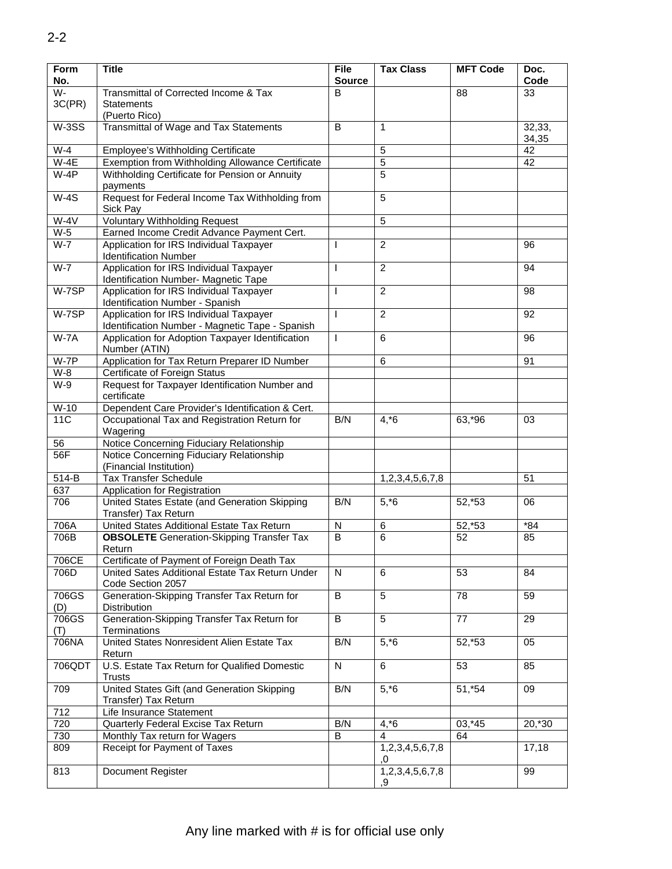| <b>Form</b><br>No. | <b>Title</b>                                                                               | <b>File</b><br><b>Source</b> | <b>Tax Class</b>      | <b>MFT Code</b> | Doc.<br>Code |
|--------------------|--------------------------------------------------------------------------------------------|------------------------------|-----------------------|-----------------|--------------|
| W-                 | Transmittal of Corrected Income & Tax                                                      | B                            |                       | 88              | 33           |
| 3C(PR)             | <b>Statements</b><br>(Puerto Rico)                                                         |                              |                       |                 |              |
| $W-3SS$            | Transmittal of Wage and Tax Statements                                                     | B                            | 1                     |                 | 32,33,       |
| $W-4$              | Employee's Withholding Certificate                                                         |                              | 5                     |                 | 34,35<br>42  |
| $W-4E$             | Exemption from Withholding Allowance Certificate                                           |                              | $\overline{5}$        |                 | 42           |
| $W-4P$             | Withholding Certificate for Pension or Annuity                                             |                              | 5                     |                 |              |
|                    | payments                                                                                   |                              |                       |                 |              |
| $W-4S$             | Request for Federal Income Tax Withholding from<br>Sick Pay                                |                              | 5                     |                 |              |
| $W-4V$             | <b>Voluntary Withholding Request</b>                                                       |                              | 5                     |                 |              |
| $W-5$              | Earned Income Credit Advance Payment Cert.                                                 |                              |                       |                 |              |
| $W-7$              | Application for IRS Individual Taxpayer<br><b>Identification Number</b>                    | L                            | $\overline{2}$        |                 | 96           |
| $W-7$              | Application for IRS Individual Taxpayer                                                    |                              | $\overline{2}$        |                 | 94           |
|                    | Identification Number- Magnetic Tape                                                       |                              |                       |                 |              |
| $W-7SP$            | Application for IRS Individual Taxpayer<br>Identification Number - Spanish                 | $\mathbf{I}$                 | $\overline{2}$        |                 | 98           |
| $W-7SP$            | Application for IRS Individual Taxpayer<br>Identification Number - Magnetic Tape - Spanish | T                            | $\overline{2}$        |                 | 92           |
| $W-7A$             | Application for Adoption Taxpayer Identification<br>Number (ATIN)                          | T                            | 6                     |                 | 96           |
| $W-7P$             | Application for Tax Return Preparer ID Number                                              |                              | 6                     |                 | 91           |
| $W-8$              | Certificate of Foreign Status                                                              |                              |                       |                 |              |
| $W-9$              | Request for Taxpayer Identification Number and<br>certificate                              |                              |                       |                 |              |
| $W-10$             | Dependent Care Provider's Identification & Cert.                                           |                              |                       |                 |              |
| 11C                | Occupational Tax and Registration Return for                                               | B/N                          | $4, *6$               | 63,*96          | 03           |
|                    | Wagering                                                                                   |                              |                       |                 |              |
| 56                 | Notice Concerning Fiduciary Relationship                                                   |                              |                       |                 |              |
| 56F                | Notice Concerning Fiduciary Relationship<br>(Financial Institution)                        |                              |                       |                 |              |
| 514-B              | <b>Tax Transfer Schedule</b>                                                               |                              | 1,2,3,4,5,6,7,8       |                 | 51           |
| 637                | Application for Registration                                                               |                              |                       |                 |              |
| 706                | United States Estate (and Generation Skipping                                              | B/N                          | $5, *6$               | 52,*53          | 06           |
|                    | Transfer) Tax Return<br>United States Additional Estate Tax Return                         |                              |                       |                 | $*84$        |
| 706A               |                                                                                            | N<br>$\overline{B}$          | 6<br>6                | 52,*53          |              |
| 706B               | <b>OBSOLETE</b> Generation-Skipping Transfer Tax<br>Return                                 |                              |                       | 52              | 85           |
| 706CE              | Certificate of Payment of Foreign Death Tax                                                |                              |                       |                 |              |
| 706D               | United Sates Additional Estate Tax Return Under<br>Code Section 2057                       | N                            | 6                     | 53              | 84           |
| 706GS<br>(D)       | Generation-Skipping Transfer Tax Return for<br>Distribution                                | $\overline{B}$               | $\overline{5}$        | $\overline{78}$ | 59           |
| 706GS              | Generation-Skipping Transfer Tax Return for                                                | B                            | 5                     | 77              | 29           |
| (T)                | Terminations                                                                               |                              |                       |                 |              |
| 706NA              | United States Nonresident Alien Estate Tax<br>Return                                       | B/N                          | $5, *6$               | 52,*53          | 05           |
| 706QDT             | U.S. Estate Tax Return for Qualified Domestic<br><b>Trusts</b>                             | N                            | 6                     | 53              | 85           |
| 709                | United States Gift (and Generation Skipping<br>Transfer) Tax Return                        | B/N                          | $5, *6$               | 51,*54          | 09           |
| 712                | Life Insurance Statement                                                                   |                              |                       |                 |              |
| 720                | Quarterly Federal Excise Tax Return                                                        | B/N                          | $4, *6$               | 03,*45          | 20,*30       |
| 730                | Monthly Tax return for Wagers                                                              | B                            | 4                     | 64              |              |
| 809                | Receipt for Payment of Taxes                                                               |                              | 1,2,3,4,5,6,7,8<br>.0 |                 | 17,18        |
| 813                | Document Register                                                                          |                              | 1,2,3,4,5,6,7,8<br>.9 |                 | 99           |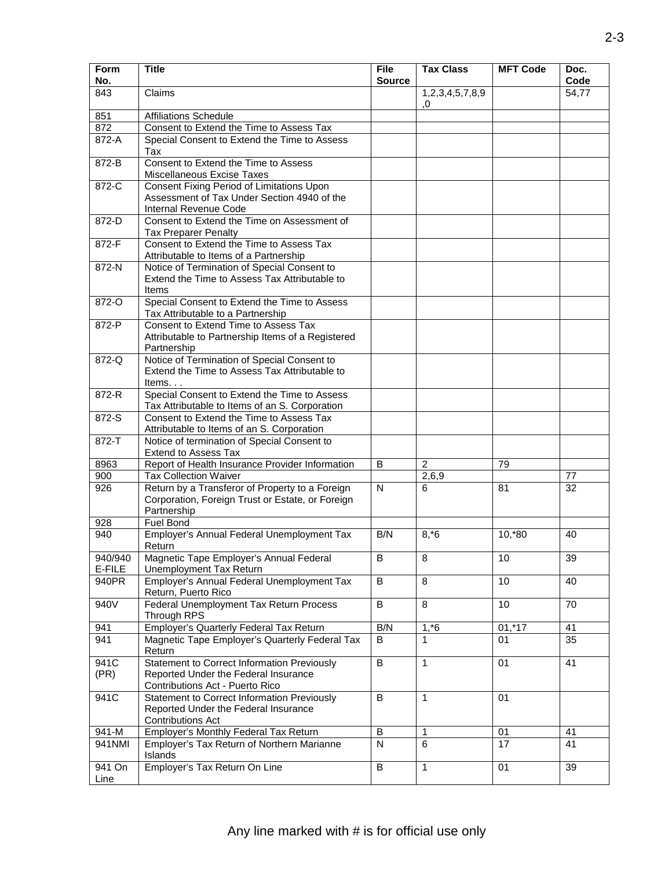| <b>Form</b><br>No. | <b>Title</b>                                                                                                                  | <b>File</b><br><b>Source</b> | <b>Tax Class</b>      | <b>MFT Code</b> | Doc.<br>Code |
|--------------------|-------------------------------------------------------------------------------------------------------------------------------|------------------------------|-----------------------|-----------------|--------------|
| 843                | Claims                                                                                                                        |                              | 1,2,3,4,5,7,8,9<br>.0 |                 | 54,77        |
| 851                | <b>Affiliations Schedule</b>                                                                                                  |                              |                       |                 |              |
| 872                | Consent to Extend the Time to Assess Tax                                                                                      |                              |                       |                 |              |
| $872-A$            | Special Consent to Extend the Time to Assess<br>Tax                                                                           |                              |                       |                 |              |
| $872 - B$          | Consent to Extend the Time to Assess<br>Miscellaneous Excise Taxes                                                            |                              |                       |                 |              |
| 872-C              | Consent Fixing Period of Limitations Upon<br>Assessment of Tax Under Section 4940 of the<br>Internal Revenue Code             |                              |                       |                 |              |
| 872-D              | Consent to Extend the Time on Assessment of<br><b>Tax Preparer Penalty</b>                                                    |                              |                       |                 |              |
| 872-F              | Consent to Extend the Time to Assess Tax<br>Attributable to Items of a Partnership                                            |                              |                       |                 |              |
| $872-N$            | Notice of Termination of Special Consent to<br>Extend the Time to Assess Tax Attributable to<br>Items                         |                              |                       |                 |              |
| 872-O              | Special Consent to Extend the Time to Assess<br>Tax Attributable to a Partnership                                             |                              |                       |                 |              |
| 872-P              | Consent to Extend Time to Assess Tax<br>Attributable to Partnership Items of a Registered<br>Partnership                      |                              |                       |                 |              |
| 872-Q              | Notice of Termination of Special Consent to<br>Extend the Time to Assess Tax Attributable to<br>Items. $\ldots$               |                              |                       |                 |              |
| 872-R              | Special Consent to Extend the Time to Assess<br>Tax Attributable to Items of an S. Corporation                                |                              |                       |                 |              |
| 872-S              | Consent to Extend the Time to Assess Tax<br>Attributable to Items of an S. Corporation                                        |                              |                       |                 |              |
| $872 - T$          | Notice of termination of Special Consent to<br><b>Extend to Assess Tax</b>                                                    |                              |                       |                 |              |
| 8963               | Report of Health Insurance Provider Information                                                                               | B                            | $\overline{c}$        | 79              |              |
| 900                | <b>Tax Collection Waiver</b>                                                                                                  |                              | 2,6,9                 |                 | 77           |
| 926                | Return by a Transferor of Property to a Foreign<br>Corporation, Foreign Trust or Estate, or Foreign<br>Partnership            | $\mathsf{N}$                 | 6                     | 81              | 32           |
| 928                | <b>Fuel Bond</b>                                                                                                              |                              |                       |                 |              |
| 940                | Employer's Annual Federal Unemployment Tax<br>Return                                                                          | B/N                          | $8, *6$               | $10, *80$       | 40           |
| 940/940<br>E-FILE  | Magnetic Tape Employer's Annual Federal<br><b>Unemployment Tax Return</b>                                                     | В                            | 8                     | 10              | 39           |
| 940PR              | Employer's Annual Federal Unemployment Tax<br>Return, Puerto Rico                                                             | $\sf B$                      | 8                     | 10              | 40           |
| 940V               | Federal Unemployment Tax Return Process<br>Through RPS                                                                        | $\overline{B}$               | 8                     | 10              | 70           |
| 941                | Employer's Quarterly Federal Tax Return                                                                                       | B/N                          | 1, 6                  | $01,*17$        | 41           |
| 941                | Magnetic Tape Employer's Quarterly Federal Tax<br>Return                                                                      | B                            | 1                     | 01              | 35           |
| 941C<br>(PR)       | <b>Statement to Correct Information Previously</b><br>Reported Under the Federal Insurance<br>Contributions Act - Puerto Rico | $\sf B$                      | $\mathbf{1}$          | 01              | 41           |
| 941C               | <b>Statement to Correct Information Previously</b><br>Reported Under the Federal Insurance                                    | $\overline{B}$               | $\mathbf{1}$          | 01              |              |
|                    | <b>Contributions Act</b>                                                                                                      |                              |                       |                 |              |
| 941-M              | Employer's Monthly Federal Tax Return                                                                                         | B                            | 1                     | 01              | 41           |
| 941NMI             | Employer's Tax Return of Northern Marianne<br>Islands                                                                         | $\overline{N}$               | 6                     | $\overline{17}$ | 41           |
| 941 On<br>Line     | Employer's Tax Return On Line                                                                                                 | $\sf B$                      | $\mathbf{1}$          | 01              | 39           |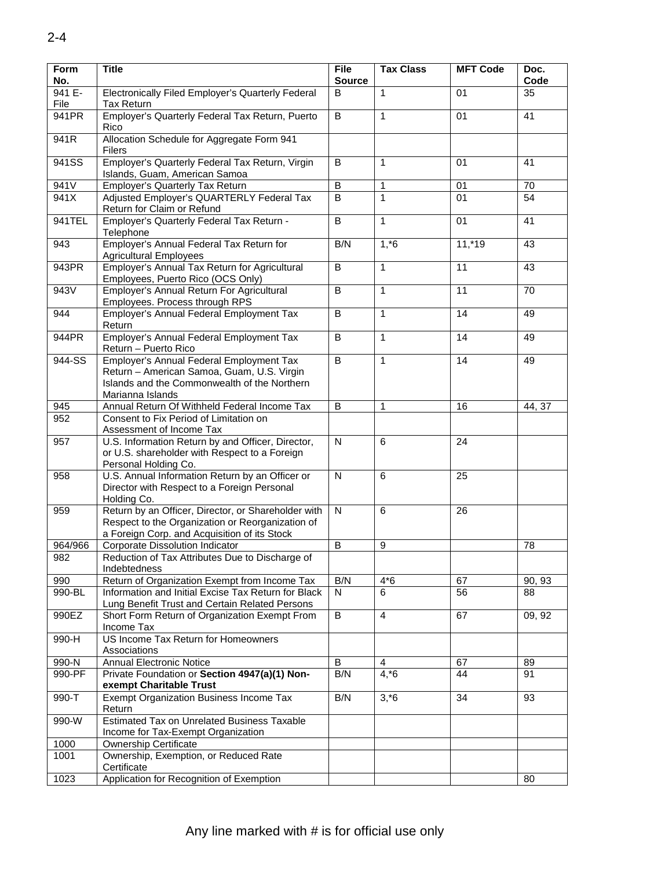| Form<br>No.    | <b>Title</b>                                                                                                                                               | <b>File</b><br><b>Source</b> | <b>Tax Class</b> | <b>MFT Code</b> | Doc.<br>Code |
|----------------|------------------------------------------------------------------------------------------------------------------------------------------------------------|------------------------------|------------------|-----------------|--------------|
| 941 E-<br>File | Electronically Filed Employer's Quarterly Federal<br><b>Tax Return</b>                                                                                     | B                            | 1                | 01              | 35           |
| 941PR          | Employer's Quarterly Federal Tax Return, Puerto                                                                                                            | B                            | $\mathbf{1}$     | 01              | 41           |
| 941R           | Rico<br>Allocation Schedule for Aggregate Form 941<br>Filers                                                                                               |                              |                  |                 |              |
| 941SS          | Employer's Quarterly Federal Tax Return, Virgin<br>Islands, Guam, American Samoa                                                                           | B                            | $\mathbf{1}$     | 01              | 41           |
| 941V           | <b>Employer's Quarterly Tax Return</b>                                                                                                                     | B                            | $\mathbf{1}$     | 01              | 70           |
| 941X           | Adjusted Employer's QUARTERLY Federal Tax<br>Return for Claim or Refund                                                                                    | B                            | 1                | 01              | 54           |
| 941TEL         | Employer's Quarterly Federal Tax Return -<br>Telephone                                                                                                     | B                            | $\mathbf{1}$     | 01              | 41           |
| 943            | Employer's Annual Federal Tax Return for<br><b>Agricultural Employees</b>                                                                                  | B/N                          | $1, *6$          | $11,*19$        | 43           |
| 943PR          | Employer's Annual Tax Return for Agricultural<br>Employees, Puerto Rico (OCS Only)                                                                         | B                            | $\mathbf{1}$     | 11              | 43           |
| 943V           | Employer's Annual Return For Agricultural<br>Employees. Process through RPS                                                                                | B                            | 1                | 11              | 70           |
| 944            | Employer's Annual Federal Employment Tax<br>Return                                                                                                         | B                            | $\mathbf{1}$     | 14              | 49           |
| 944PR          | Employer's Annual Federal Employment Tax<br>Return - Puerto Rico                                                                                           | B                            | $\mathbf{1}$     | 14              | 49           |
| 944-SS         | Employer's Annual Federal Employment Tax<br>Return - American Samoa, Guam, U.S. Virgin<br>Islands and the Commonwealth of the Northern<br>Marianna Islands | $\overline{B}$               | $\mathbf{1}$     | 14              | 49           |
| 945            | Annual Return Of Withheld Federal Income Tax                                                                                                               | B                            | $\mathbf{1}$     | 16              | 44, 37       |
| 952            | Consent to Fix Period of Limitation on<br>Assessment of Income Tax                                                                                         |                              |                  |                 |              |
| 957            | U.S. Information Return by and Officer, Director,<br>or U.S. shareholder with Respect to a Foreign<br>Personal Holding Co.                                 | N                            | 6                | 24              |              |
| 958            | U.S. Annual Information Return by an Officer or<br>Director with Respect to a Foreign Personal<br>Holding Co.                                              | N                            | 6                | 25              |              |
| 959            | Return by an Officer, Director, or Shareholder with<br>Respect to the Organization or Reorganization of<br>a Foreign Corp. and Acquisition of its Stock    | $\overline{N}$               | 6                | 26              |              |
| 964/966        | Corporate Dissolution Indicator                                                                                                                            | B                            | 9                |                 | 78           |
| 982            | Reduction of Tax Attributes Due to Discharge of<br>Indebtedness                                                                                            |                              |                  |                 |              |
| 990            | Return of Organization Exempt from Income Tax                                                                                                              | B/N                          | $4*6$            | 67              | 90, 93       |
| 990-BL         | Information and Initial Excise Tax Return for Black<br>Lung Benefit Trust and Certain Related Persons                                                      | N.                           | 6                | 56              | 88           |
| 990EZ          | Short Form Return of Organization Exempt From<br>Income Tax                                                                                                | B                            | $\overline{4}$   | 67              | 09, 92       |
| 990-H          | US Income Tax Return for Homeowners<br>Associations                                                                                                        |                              |                  |                 |              |
| 990-N          | <b>Annual Electronic Notice</b>                                                                                                                            | B                            | 4                | 67              | 89           |
| 990-PF         | Private Foundation or Section 4947(a)(1) Non-<br>exempt Charitable Trust                                                                                   | B/N                          | $4, *6$          | 44              | 91           |
| 990-T          | Exempt Organization Business Income Tax<br>Return                                                                                                          | B/N                          | $3, *6$          | 34              | 93           |
| 990-W          | Estimated Tax on Unrelated Business Taxable<br>Income for Tax-Exempt Organization                                                                          |                              |                  |                 |              |
| 1000           | <b>Ownership Certificate</b>                                                                                                                               |                              |                  |                 |              |
| 1001           | Ownership, Exemption, or Reduced Rate<br>Certificate                                                                                                       |                              |                  |                 |              |
| 1023           | Application for Recognition of Exemption                                                                                                                   |                              |                  |                 | 80           |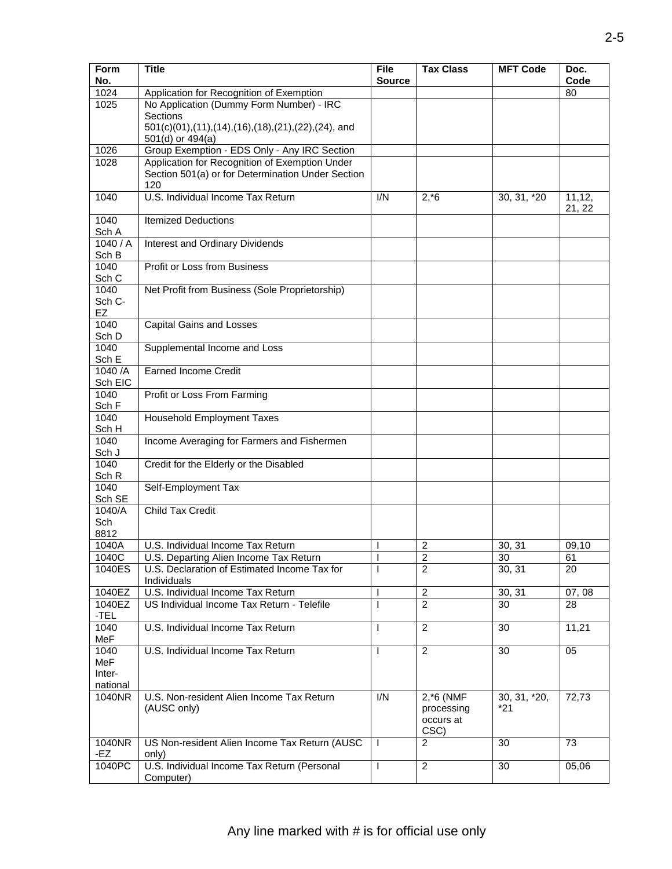| Form<br>No.                       | <b>Title</b>                                                                                               | <b>File</b><br><b>Source</b> | <b>Tax Class</b>                                | <b>MFT Code</b>       | Doc.<br>Code      |
|-----------------------------------|------------------------------------------------------------------------------------------------------------|------------------------------|-------------------------------------------------|-----------------------|-------------------|
| 1024                              | Application for Recognition of Exemption                                                                   |                              |                                                 |                       | 80                |
| 1025                              | No Application (Dummy Form Number) - IRC<br>Sections                                                       |                              |                                                 |                       |                   |
|                                   | 501(c)(01),(11),(14),(16),(18),(21),(22),(24), and<br>501(d) or 494(a)                                     |                              |                                                 |                       |                   |
| 1026                              | Group Exemption - EDS Only - Any IRC Section                                                               |                              |                                                 |                       |                   |
| 1028                              | Application for Recognition of Exemption Under<br>Section 501(a) or for Determination Under Section<br>120 |                              |                                                 |                       |                   |
| 1040                              | U.S. Individual Income Tax Return                                                                          | I/N                          | $2, *6$                                         | 30, 31, *20           | 11, 12,<br>21, 22 |
| 1040<br>Sch A                     | <b>Itemized Deductions</b>                                                                                 |                              |                                                 |                       |                   |
| 1040/A<br>Sch B                   | Interest and Ordinary Dividends                                                                            |                              |                                                 |                       |                   |
| 1040<br>Sch C                     | Profit or Loss from Business                                                                               |                              |                                                 |                       |                   |
| 1040<br>Sch C-<br>EZ              | Net Profit from Business (Sole Proprietorship)                                                             |                              |                                                 |                       |                   |
| 1040<br>Sch D                     | <b>Capital Gains and Losses</b>                                                                            |                              |                                                 |                       |                   |
| 1040<br>Sch E                     | Supplemental Income and Loss                                                                               |                              |                                                 |                       |                   |
| 1040/A<br>Sch EIC                 | <b>Earned Income Credit</b>                                                                                |                              |                                                 |                       |                   |
| 1040<br>Sch F                     | Profit or Loss From Farming                                                                                |                              |                                                 |                       |                   |
| 1040<br>Sch H                     | Household Employment Taxes                                                                                 |                              |                                                 |                       |                   |
| 1040<br>Sch J                     | Income Averaging for Farmers and Fishermen                                                                 |                              |                                                 |                       |                   |
| 1040<br>Sch R                     | Credit for the Elderly or the Disabled                                                                     |                              |                                                 |                       |                   |
| 1040<br>Sch SE                    | Self-Employment Tax                                                                                        |                              |                                                 |                       |                   |
| 1040/A<br>Sch<br>8812             | <b>Child Tax Credit</b>                                                                                    |                              |                                                 |                       |                   |
| 1040A                             | U.S. Individual Income Tax Return                                                                          |                              | $\overline{2}$                                  | 30, 31                | 09,10             |
| 1040C                             | U.S. Departing Alien Income Tax Return                                                                     |                              | $\overline{c}$                                  | 30                    | 61                |
| 1040ES                            | U.S. Declaration of Estimated Income Tax for<br>Individuals                                                |                              | $\overline{2}$                                  | 30, 31                | 20                |
| 1040EZ                            | U.S. Individual Income Tax Return                                                                          |                              | $\overline{c}$                                  | 30, 31                | 07,08             |
| 1040EZ<br>-TEL                    | US Individual Income Tax Return - Telefile                                                                 |                              | $\overline{2}$                                  | 30                    | 28                |
| 1040<br>MeF                       | U.S. Individual Income Tax Return                                                                          | <sup>1</sup>                 | 2                                               | 30                    | 11,21             |
| 1040<br>MeF<br>Inter-<br>national | U.S. Individual Income Tax Return                                                                          | T                            | $\overline{c}$                                  | 30                    | 05                |
| 1040NR                            | U.S. Non-resident Alien Income Tax Return<br>(AUSC only)                                                   | I/N                          | $2, *6$ (NMF<br>processing<br>occurs at<br>CSC) | 30, 31, *20,<br>$*21$ | 72,73             |
| 1040NR<br>-EZ                     | US Non-resident Alien Income Tax Return (AUSC<br>only)                                                     |                              | $\overline{2}$                                  | 30                    | 73                |
| 1040PC                            | U.S. Individual Income Tax Return (Personal<br>Computer)                                                   | $\mathbf{I}$                 | $\overline{2}$                                  | 30                    | 05,06             |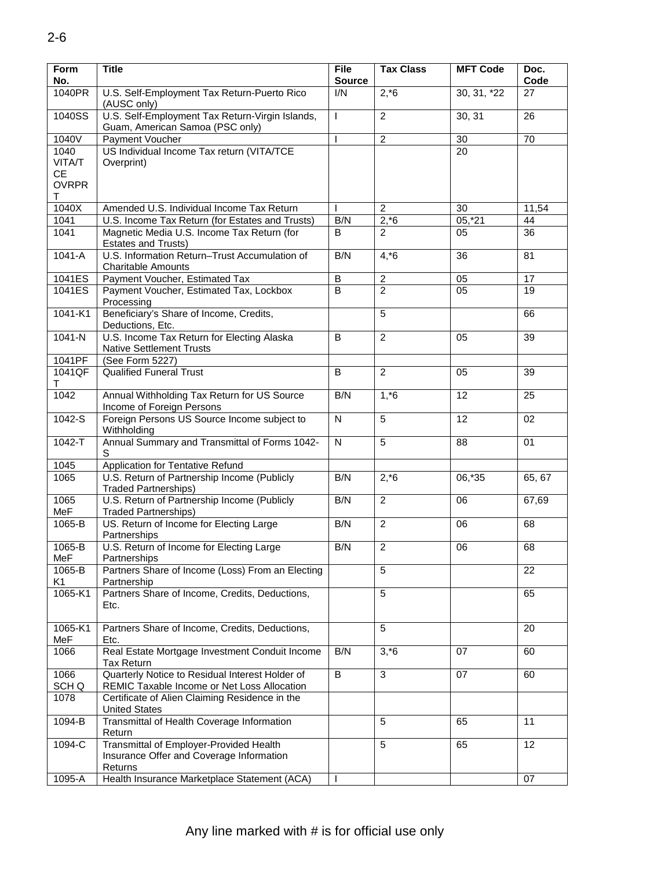| Form<br>No.    | <b>Title</b>                                                                       | <b>File</b><br><b>Source</b> | <b>Tax Class</b> | <b>MFT Code</b> | Doc.<br>Code    |
|----------------|------------------------------------------------------------------------------------|------------------------------|------------------|-----------------|-----------------|
| 1040PR         | U.S. Self-Employment Tax Return-Puerto Rico<br>(AUSC only)                         | I/N                          | $2, *6$          | $30, 31, *22$   | 27              |
| 1040SS         | U.S. Self-Employment Tax Return-Virgin Islands,<br>Guam, American Samoa (PSC only) | T                            | $\overline{2}$   | 30, 31          | 26              |
| 1040V          | Payment Voucher                                                                    |                              | $\overline{c}$   | 30              | 70              |
| 1040           | US Individual Income Tax return (VITA/TCE                                          |                              |                  | 20              |                 |
| VITA/T         | Overprint)                                                                         |                              |                  |                 |                 |
| <b>CE</b>      |                                                                                    |                              |                  |                 |                 |
| <b>OVRPR</b>   |                                                                                    |                              |                  |                 |                 |
| T.             |                                                                                    |                              |                  |                 |                 |
| 1040X          | Amended U.S. Individual Income Tax Return                                          |                              | $\overline{c}$   | 30              | 11,54           |
| 1041           | U.S. Income Tax Return (for Estates and Trusts)                                    | B/N                          | $2, *6$          | $05, *21$       | 44              |
| 1041           | Magnetic Media U.S. Income Tax Return (for                                         | B                            | $\overline{2}$   | 05              | 36              |
|                | Estates and Trusts)                                                                |                              |                  |                 |                 |
| $1041-A$       | U.S. Information Return-Trust Accumulation of                                      | B/N                          | $4, *6$          | 36              | 81              |
|                | <b>Charitable Amounts</b>                                                          |                              |                  |                 |                 |
| 1041ES         |                                                                                    | $\overline{B}$               | $\overline{2}$   |                 | $\overline{17}$ |
|                | Payment Voucher, Estimated Tax                                                     |                              |                  | 05              |                 |
| 1041ES         | Payment Voucher, Estimated Tax, Lockbox                                            | B                            | $\overline{2}$   | 05              | 19              |
|                | Processing                                                                         |                              |                  |                 |                 |
| 1041-K1        | Beneficiary's Share of Income, Credits,                                            |                              | 5                |                 | 66              |
|                | Deductions, Etc.                                                                   |                              |                  |                 |                 |
| $1041 - N$     | U.S. Income Tax Return for Electing Alaska                                         | B                            | $\overline{2}$   | 05              | 39              |
|                | <b>Native Settlement Trusts</b>                                                    |                              |                  |                 |                 |
| 1041PF         | (See Form 5227)                                                                    |                              |                  |                 |                 |
| 1041QF         | <b>Qualified Funeral Trust</b>                                                     | B                            | $\overline{2}$   | 05              | 39              |
| T              |                                                                                    |                              |                  |                 |                 |
| 1042           | Annual Withholding Tax Return for US Source                                        | B/N                          | $1, *6$          | 12              | 25              |
|                | Income of Foreign Persons                                                          |                              |                  |                 |                 |
| $1042-S$       | Foreign Persons US Source Income subject to                                        | ${\sf N}$                    | 5                | 12              | 02              |
|                | Withholding                                                                        |                              |                  |                 |                 |
| $1042 - T$     | Annual Summary and Transmittal of Forms 1042-                                      | $\overline{\mathsf{N}}$      | 5                | 88              | 01              |
|                | S                                                                                  |                              |                  |                 |                 |
| 1045           | <b>Application for Tentative Refund</b>                                            |                              |                  |                 |                 |
| 1065           | U.S. Return of Partnership Income (Publicly                                        | B/N                          | $2, *6$          | 06,*35          | 65, 67          |
|                | <b>Traded Partnerships)</b>                                                        |                              |                  |                 |                 |
| 1065           | U.S. Return of Partnership Income (Publicly                                        | B/N                          | $\overline{c}$   | 06              | 67,69           |
| MeF            | <b>Traded Partnerships)</b>                                                        |                              |                  |                 |                 |
| 1065-B         | US. Return of Income for Electing Large                                            | B/N                          | $\overline{2}$   | 06              | 68              |
|                | Partnerships                                                                       |                              |                  |                 |                 |
| 1065-B         | U.S. Return of Income for Electing Large                                           | B/N                          | $\overline{2}$   | 06              | 68              |
| MeF            | Partnerships                                                                       |                              |                  |                 |                 |
| 1065-B         | Partners Share of Income (Loss) From an Electing                                   |                              | 5                |                 | 22              |
| K <sub>1</sub> | Partnership                                                                        |                              |                  |                 |                 |
| 1065-K1        | Partners Share of Income, Credits, Deductions,                                     |                              | 5                |                 | 65              |
|                | Etc.                                                                               |                              |                  |                 |                 |
|                |                                                                                    |                              |                  |                 |                 |
| 1065-K1        | Partners Share of Income, Credits, Deductions,                                     |                              | 5                |                 | 20              |
| MeF            | Etc.                                                                               |                              |                  |                 |                 |
| 1066           | Real Estate Mortgage Investment Conduit Income                                     | B/N                          | $3, *6$          | 07              | 60              |
|                | <b>Tax Return</b>                                                                  |                              |                  |                 |                 |
| 1066           | Quarterly Notice to Residual Interest Holder of                                    | $\overline{B}$               | 3                | 07              | 60              |
|                | REMIC Taxable Income or Net Loss Allocation                                        |                              |                  |                 |                 |
| SCH Q          |                                                                                    |                              |                  |                 |                 |
| 1078           | Certificate of Alien Claiming Residence in the                                     |                              |                  |                 |                 |
|                | <b>United States</b>                                                               |                              |                  |                 |                 |
| 1094-B         | Transmittal of Health Coverage Information                                         |                              | 5                | 65              | 11              |
|                | Return                                                                             |                              |                  |                 |                 |
| 1094-C         | Transmittal of Employer-Provided Health                                            |                              | 5                | 65              | 12              |
|                | Insurance Offer and Coverage Information                                           |                              |                  |                 |                 |
|                | Returns                                                                            |                              |                  |                 |                 |
| 1095-A         | Health Insurance Marketplace Statement (ACA)                                       |                              |                  |                 | 07              |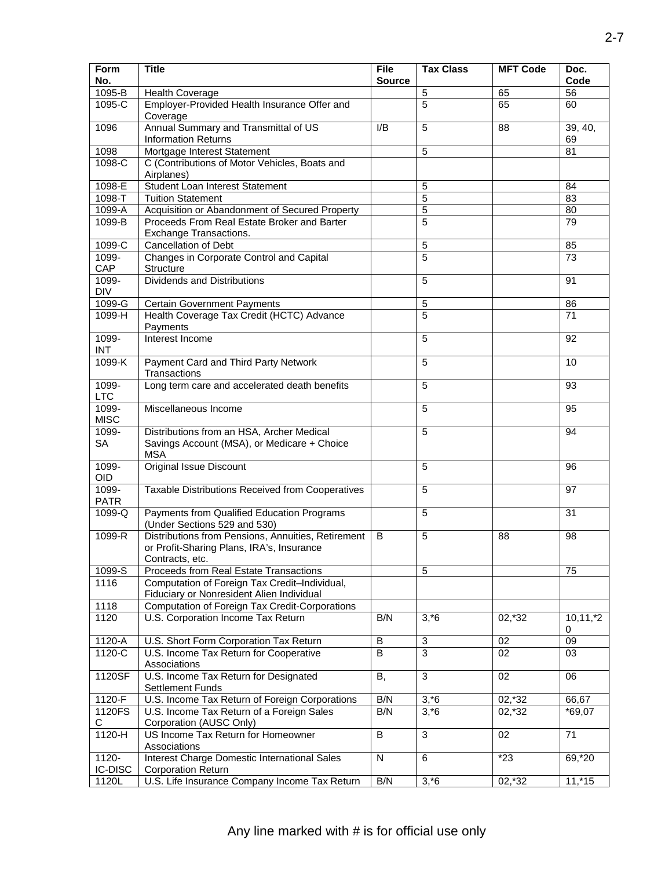| Form<br>No.         | <b>Title</b>                                           | <b>File</b><br><b>Source</b> | <b>Tax Class</b> | <b>MFT Code</b> | Doc.<br>Code    |
|---------------------|--------------------------------------------------------|------------------------------|------------------|-----------------|-----------------|
| 1095-B              | <b>Health Coverage</b>                                 |                              | $\,$ 5 $\,$      | 65              | 56              |
| 1095-C              | Employer-Provided Health Insurance Offer and           |                              | 5                | 65              | 60              |
|                     | Coverage                                               |                              |                  |                 |                 |
| 1096                | Annual Summary and Transmittal of US                   | I/B                          | 5                | 88              | 39, 40,         |
|                     | <b>Information Returns</b>                             |                              |                  |                 | 69              |
| 1098                | Mortgage Interest Statement                            |                              | 5                |                 | $\overline{81}$ |
| 1098-C              | C (Contributions of Motor Vehicles, Boats and          |                              |                  |                 |                 |
|                     | Airplanes)                                             |                              |                  |                 |                 |
| 1098-E              | Student Loan Interest Statement                        |                              | 5                |                 | 84              |
| 1098-T              | <b>Tuition Statement</b>                               |                              | $\overline{5}$   |                 | $\overline{83}$ |
| 1099-A              | Acquisition or Abandonment of Secured Property         |                              | 5                |                 | 80              |
| 1099-B              | Proceeds From Real Estate Broker and Barter            |                              | 5                |                 | 79              |
|                     | Exchange Transactions.                                 |                              |                  |                 |                 |
| 1099-C              | <b>Cancellation of Debt</b>                            |                              | 5                |                 | 85              |
| 1099-               | Changes in Corporate Control and Capital               |                              | $\overline{5}$   |                 | $\overline{73}$ |
| CAP                 | Structure                                              |                              |                  |                 |                 |
| 1099-<br><b>DIV</b> | <b>Dividends and Distributions</b>                     |                              | 5                |                 | 91              |
| 1099-G              | <b>Certain Government Payments</b>                     |                              | 5                |                 | 86              |
| 1099-H              | Health Coverage Tax Credit (HCTC) Advance              |                              | 5                |                 | 71              |
|                     | Payments                                               |                              |                  |                 |                 |
| 1099-               | Interest Income                                        |                              | 5                |                 | 92              |
| <b>INT</b>          |                                                        |                              |                  |                 |                 |
| $1099-K$            | Payment Card and Third Party Network                   |                              | 5                |                 | 10              |
|                     | Transactions                                           |                              |                  |                 |                 |
| 1099-               | Long term care and accelerated death benefits          |                              | 5                |                 | 93              |
| <b>LTC</b>          |                                                        |                              |                  |                 |                 |
| 1099-               | Miscellaneous Income                                   |                              | 5                |                 | 95              |
| <b>MISC</b>         |                                                        |                              |                  |                 |                 |
| 1099-               | Distributions from an HSA, Archer Medical              |                              | 5                |                 | 94              |
| <b>SA</b>           | Savings Account (MSA), or Medicare + Choice            |                              |                  |                 |                 |
|                     | <b>MSA</b>                                             |                              |                  |                 |                 |
| 1099-<br><b>OID</b> | Original Issue Discount                                |                              | 5                |                 | 96              |
| 1099-               | Taxable Distributions Received from Cooperatives       |                              | 5                |                 | 97              |
| <b>PATR</b>         |                                                        |                              |                  |                 |                 |
| 1099-Q              | Payments from Qualified Education Programs             |                              | 5                |                 | 31              |
|                     | (Under Sections 529 and 530)                           |                              |                  |                 |                 |
| 1099-R              | Distributions from Pensions, Annuities, Retirement     | B                            | 5                | 88              | 98              |
|                     | or Profit-Sharing Plans, IRA's, Insurance              |                              |                  |                 |                 |
|                     | Contracts, etc.                                        |                              |                  |                 |                 |
| 1099-S              | Proceeds from Real Estate Transactions                 |                              | 5                |                 | 75              |
| 1116                | Computation of Foreign Tax Credit-Individual,          |                              |                  |                 |                 |
|                     | Fiduciary or Nonresident Alien Individual              |                              |                  |                 |                 |
| 1118                | <b>Computation of Foreign Tax Credit-Corporations</b>  |                              |                  |                 |                 |
| 1120                | U.S. Corporation Income Tax Return                     | B/N                          | $3, *6$          | 02,*32          | $10,11,*2$      |
|                     |                                                        |                              |                  |                 | 0               |
| 1120-A              | U.S. Short Form Corporation Tax Return                 | $\sf B$                      | 3                | 02              | 09              |
| $1120-C$            | U.S. Income Tax Return for Cooperative<br>Associations | $\overline{B}$               | $\overline{3}$   | 02              | 03              |
| 1120SF              | U.S. Income Tax Return for Designated                  | В,                           | 3                | 02              | 06              |
|                     | <b>Settlement Funds</b>                                |                              |                  |                 |                 |
| 1120-F              | U.S. Income Tax Return of Foreign Corporations         | B/N                          | $3, *6$          | 02,*32          | 66,67           |
| 1120FS              | U.S. Income Tax Return of a Foreign Sales              | B/N                          | $3, *6$          | 02,*32          | $*69,07$        |
| C                   | Corporation (AUSC Only)                                |                              |                  |                 |                 |
| 1120-H              | US Income Tax Return for Homeowner                     | $\sf B$                      | $\mathbf{3}$     | 02              | 71              |
|                     | Associations                                           |                              |                  |                 |                 |
| $1120 -$            | <b>Interest Charge Domestic International Sales</b>    | ${\sf N}$                    | 6                | $*23$           | 69,*20          |
| <b>IC-DISC</b>      | <b>Corporation Return</b>                              |                              |                  |                 |                 |
| 1120L               | U.S. Life Insurance Company Income Tax Return          | B/N                          | $3, *6$          | 02,*32          | $11,*15$        |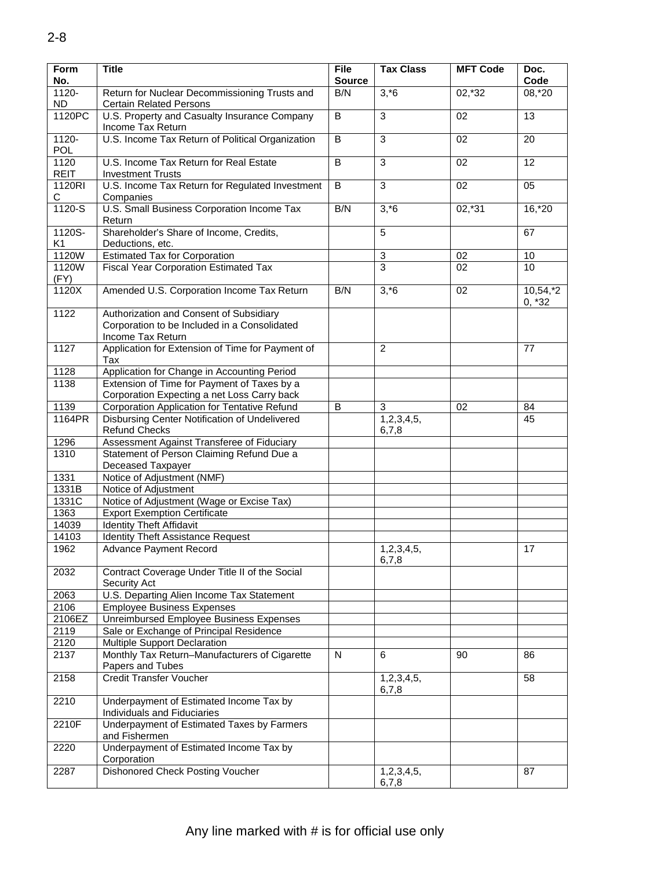| Form<br>No.              | <b>Title</b>                                                                                                 | <b>File</b><br><b>Source</b> | <b>Tax Class</b>      | <b>MFT Code</b> | Doc.<br>Code        |
|--------------------------|--------------------------------------------------------------------------------------------------------------|------------------------------|-----------------------|-----------------|---------------------|
| $1120 -$                 | Return for Nuclear Decommissioning Trusts and                                                                | B/N                          | $3, *6$               | $02,*32$        | 08,*20              |
| <b>ND</b>                | <b>Certain Related Persons</b>                                                                               |                              |                       |                 |                     |
| 1120PC                   | U.S. Property and Casualty Insurance Company<br>Income Tax Return                                            | $\overline{B}$               | 3                     | $\overline{02}$ | $\overline{13}$     |
| $1120 -$<br>POL          | U.S. Income Tax Return of Political Organization                                                             | B                            | 3                     | 02              | 20                  |
| 1120<br><b>REIT</b>      | U.S. Income Tax Return for Real Estate<br><b>Investment Trusts</b>                                           | B                            | 3                     | 02              | 12                  |
| 1120RI<br>С              | U.S. Income Tax Return for Regulated Investment<br>Companies                                                 | $\overline{B}$               | $\overline{3}$        | 02              | 05                  |
| $1120-S$                 | U.S. Small Business Corporation Income Tax<br>Return                                                         | B/N                          | $3, *6$               | $02, *31$       | $16, *20$           |
| 1120S-<br>K <sub>1</sub> | Shareholder's Share of Income, Credits,<br>Deductions, etc.                                                  |                              | 5                     |                 | 67                  |
| 1120W                    | <b>Estimated Tax for Corporation</b>                                                                         |                              | 3                     | 02              | 10                  |
| 1120W<br>(FY)            | <b>Fiscal Year Corporation Estimated Tax</b>                                                                 |                              | $\overline{3}$        | 02              | 10                  |
| 1120X                    | Amended U.S. Corporation Income Tax Return                                                                   | B/N                          | $3, *6$               | 02              | 10,54,2<br>$0, *32$ |
| 1122                     | Authorization and Consent of Subsidiary<br>Corporation to be Included in a Consolidated<br>Income Tax Return |                              |                       |                 |                     |
| 1127                     | Application for Extension of Time for Payment of<br>Tax                                                      |                              | 2                     |                 | 77                  |
| 1128                     | Application for Change in Accounting Period                                                                  |                              |                       |                 |                     |
| 1138                     | Extension of Time for Payment of Taxes by a                                                                  |                              |                       |                 |                     |
|                          | Corporation Expecting a net Loss Carry back                                                                  |                              |                       |                 |                     |
| 1139                     | Corporation Application for Tentative Refund                                                                 | B                            | 3                     | 02              | 84                  |
| 1164PR                   | Disbursing Center Notification of Undelivered<br><b>Refund Checks</b>                                        |                              | 1,2,3,4,5,<br>6,7,8   |                 | 45                  |
| 1296                     | Assessment Against Transferee of Fiduciary                                                                   |                              |                       |                 |                     |
| 1310                     | Statement of Person Claiming Refund Due a                                                                    |                              |                       |                 |                     |
|                          | Deceased Taxpayer                                                                                            |                              |                       |                 |                     |
| 1331                     | Notice of Adjustment (NMF)                                                                                   |                              |                       |                 |                     |
| 1331B                    | Notice of Adjustment                                                                                         |                              |                       |                 |                     |
| 1331C                    | Notice of Adjustment (Wage or Excise Tax)                                                                    |                              |                       |                 |                     |
| 1363                     | <b>Export Exemption Certificate</b>                                                                          |                              |                       |                 |                     |
| 14039                    | <b>Identity Theft Affidavit</b>                                                                              |                              |                       |                 |                     |
| 14103                    | <b>Identity Theft Assistance Request</b>                                                                     |                              |                       |                 |                     |
| 1962                     | <b>Advance Payment Record</b>                                                                                |                              | 1,2,3,4,5,<br>6, 7, 8 |                 | 17                  |
| 2032                     | Contract Coverage Under Title II of the Social<br>Security Act                                               |                              |                       |                 |                     |
| 2063                     | U.S. Departing Alien Income Tax Statement                                                                    |                              |                       |                 |                     |
| 2106                     | <b>Employee Business Expenses</b>                                                                            |                              |                       |                 |                     |
| 2106EZ                   | Unreimbursed Employee Business Expenses                                                                      |                              |                       |                 |                     |
| 2119                     | Sale or Exchange of Principal Residence                                                                      |                              |                       |                 |                     |
| 2120                     | Multiple Support Declaration                                                                                 |                              |                       |                 |                     |
| 2137                     | Monthly Tax Return-Manufacturers of Cigarette<br>Papers and Tubes                                            | N                            | 6                     | 90              | 86                  |
| 2158                     | <b>Credit Transfer Voucher</b>                                                                               |                              | 1,2,3,4,5,<br>6,7,8   |                 | 58                  |
| 2210                     | Underpayment of Estimated Income Tax by<br>Individuals and Fiduciaries                                       |                              |                       |                 |                     |
| 2210F                    | Underpayment of Estimated Taxes by Farmers<br>and Fishermen                                                  |                              |                       |                 |                     |
| 2220                     | Underpayment of Estimated Income Tax by<br>Corporation                                                       |                              |                       |                 |                     |
| 2287                     | Dishonored Check Posting Voucher                                                                             |                              | 1,2,3,4,5,<br>6,7,8   |                 | 87                  |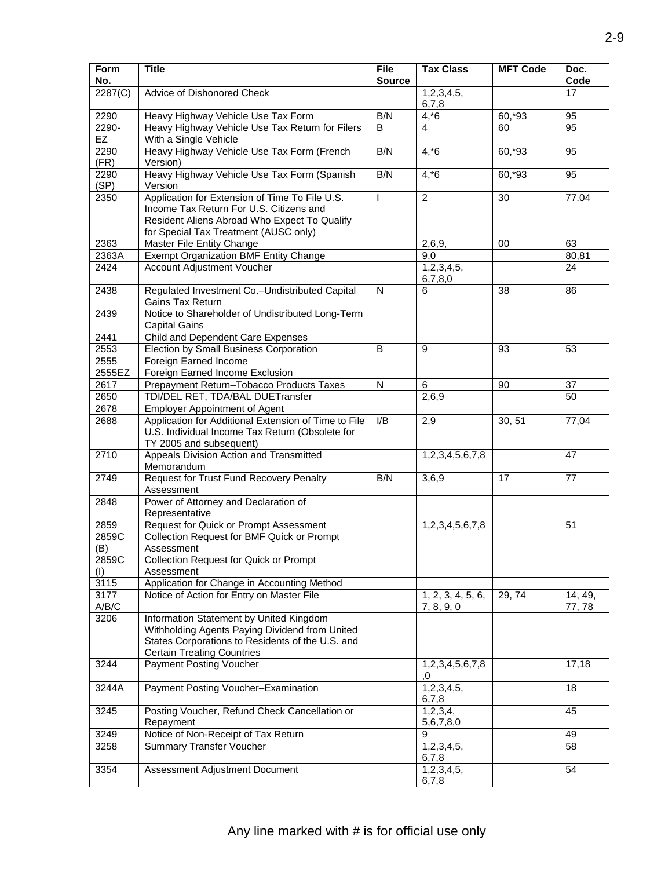| Form<br>No.   | <b>Title</b>                                                                                                                                                                       | <b>File</b><br><b>Source</b> | <b>Tax Class</b>                | <b>MFT Code</b> | Doc.<br>Code      |
|---------------|------------------------------------------------------------------------------------------------------------------------------------------------------------------------------------|------------------------------|---------------------------------|-----------------|-------------------|
| 2287(C)       | Advice of Dishonored Check                                                                                                                                                         |                              | 1,2,3,4,5,<br>6,7,8             |                 | 17                |
| 2290          | Heavy Highway Vehicle Use Tax Form                                                                                                                                                 | B/N                          | $4, *6$                         | 60,*93          | 95                |
| 2290-<br>EZ   | Heavy Highway Vehicle Use Tax Return for Filers                                                                                                                                    | B                            | 4                               | 60              | 95                |
| 2290          | With a Single Vehicle<br>Heavy Highway Vehicle Use Tax Form (French                                                                                                                | B/N                          | $4, *6$                         | 60,*93          | 95                |
| (FR)          | Version)                                                                                                                                                                           |                              |                                 |                 |                   |
| 2290<br>(SP)  | Heavy Highway Vehicle Use Tax Form (Spanish<br>Version                                                                                                                             | B/N                          | $4, *6$                         | $60, *93$       | 95                |
| 2350          | Application for Extension of Time To File U.S.<br>Income Tax Return For U.S. Citizens and<br>Resident Aliens Abroad Who Expect To Qualify<br>for Special Tax Treatment (AUSC only) | $\mathbf{I}$                 | $\overline{2}$                  | 30              | 77.04             |
| 2363          | Master File Entity Change                                                                                                                                                          |                              | 2,6,9,                          | 00              | 63                |
| 2363A         | Exempt Organization BMF Entity Change                                                                                                                                              |                              | 9,0                             |                 | 80,81             |
| 2424          | <b>Account Adjustment Voucher</b>                                                                                                                                                  |                              | 1,2,3,4,5,<br>6,7,8,0           |                 | 24                |
| 2438          | Regulated Investment Co.-Undistributed Capital<br>Gains Tax Return                                                                                                                 | $\mathsf{N}$                 | 6                               | 38              | 86                |
| 2439          | Notice to Shareholder of Undistributed Long-Term<br><b>Capital Gains</b>                                                                                                           |                              |                                 |                 |                   |
| 2441          | Child and Dependent Care Expenses                                                                                                                                                  |                              |                                 |                 |                   |
| 2553          | Election by Small Business Corporation                                                                                                                                             | B                            | 9                               | 93              | 53                |
| 2555          | Foreign Earned Income                                                                                                                                                              |                              |                                 |                 |                   |
| 2555EZ        | Foreign Earned Income Exclusion                                                                                                                                                    |                              |                                 |                 |                   |
| 2617          | Prepayment Return-Tobacco Products Taxes                                                                                                                                           | N                            | 6                               | 90              | 37                |
| 2650          | TDI/DEL RET, TDA/BAL DUETransfer                                                                                                                                                   |                              | 2,6,9                           |                 | 50                |
| 2678          | <b>Employer Appointment of Agent</b>                                                                                                                                               |                              |                                 |                 |                   |
| 2688          | Application for Additional Extension of Time to File<br>U.S. Individual Income Tax Return (Obsolete for<br>TY 2005 and subsequent)                                                 | I/B                          | 2,9                             | 30, 51          | 77,04             |
| 2710          | Appeals Division Action and Transmitted<br>Memorandum                                                                                                                              |                              | 1,2,3,4,5,6,7,8                 |                 | 47                |
| 2749          | <b>Request for Trust Fund Recovery Penalty</b><br>Assessment                                                                                                                       | B/N                          | 3,6,9                           | 17              | 77                |
| 2848          | Power of Attorney and Declaration of<br>Representative                                                                                                                             |                              |                                 |                 |                   |
| 2859          | Request for Quick or Prompt Assessment                                                                                                                                             |                              | 1,2,3,4,5,6,7,8                 |                 | 51                |
| 2859C<br>(B)  | Collection Request for BMF Quick or Prompt<br>Assessment                                                                                                                           |                              |                                 |                 |                   |
| 2859C         | Collection Request for Quick or Prompt                                                                                                                                             |                              |                                 |                 |                   |
| (1)           | Assessment                                                                                                                                                                         |                              |                                 |                 |                   |
| 3115          | Application for Change in Accounting Method                                                                                                                                        |                              |                                 |                 |                   |
| 3177<br>A/B/C | Notice of Action for Entry on Master File                                                                                                                                          |                              | 1, 2, 3, 4, 5, 6,<br>7, 8, 9, 0 | 29, 74          | 14, 49,<br>77, 78 |
| 3206          | Information Statement by United Kingdom<br>Withholding Agents Paying Dividend from United<br>States Corporations to Residents of the U.S. and<br><b>Certain Treating Countries</b> |                              |                                 |                 |                   |
| 3244          | <b>Payment Posting Voucher</b>                                                                                                                                                     |                              | 1,2,3,4,5,6,7,8<br>0,           |                 | 17,18             |
| 3244A         | Payment Posting Voucher-Examination                                                                                                                                                |                              | 1,2,3,4,5,<br>6,7,8             |                 | 18                |
| 3245          | Posting Voucher, Refund Check Cancellation or<br>Repayment                                                                                                                         |                              | 1, 2, 3, 4,<br>5,6,7,8,0        |                 | 45                |
| 3249          | Notice of Non-Receipt of Tax Return                                                                                                                                                |                              | 9                               |                 | 49                |
| 3258          | <b>Summary Transfer Voucher</b>                                                                                                                                                    |                              | 1,2,3,4,5,<br>6,7,8             |                 | 58                |
| 3354          | Assessment Adjustment Document                                                                                                                                                     |                              | 1,2,3,4,5,<br>6,7,8             |                 | 54                |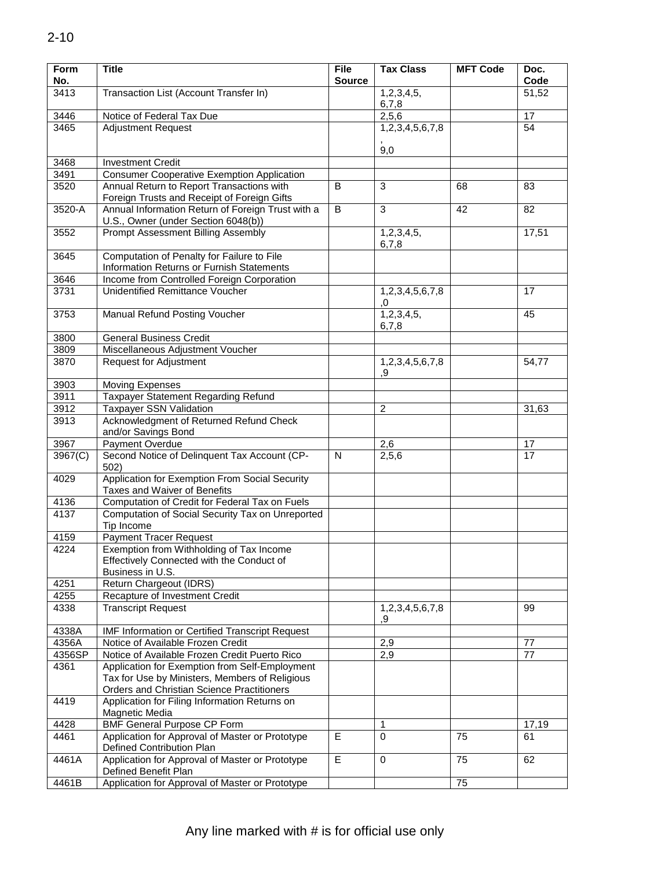| Form<br>No.          | <b>Title</b>                                      | <b>File</b><br><b>Source</b> | <b>Tax Class</b> | <b>MFT Code</b> | Doc.<br>Code    |
|----------------------|---------------------------------------------------|------------------------------|------------------|-----------------|-----------------|
| 3413                 | Transaction List (Account Transfer In)            |                              | 1,2,3,4,5,       |                 | 51,52           |
|                      |                                                   |                              | 6,7,8            |                 |                 |
| 3446                 | Notice of Federal Tax Due                         |                              | 2,5,6            |                 | 17              |
| 3465                 | <b>Adjustment Request</b>                         |                              | 1,2,3,4,5,6,7,8  |                 | 54              |
|                      |                                                   |                              |                  |                 |                 |
|                      |                                                   |                              | 9,0              |                 |                 |
| 3468                 | <b>Investment Credit</b>                          |                              |                  |                 |                 |
| 3491                 | <b>Consumer Cooperative Exemption Application</b> |                              |                  |                 |                 |
| 3520                 | Annual Return to Report Transactions with         | B                            | 3                | 68              | 83              |
|                      | Foreign Trusts and Receipt of Foreign Gifts       |                              |                  |                 |                 |
| 3520-A               | Annual Information Return of Foreign Trust with a | B                            | 3                | 42              | 82              |
|                      | U.S., Owner (under Section 6048(b))               |                              |                  |                 |                 |
| 3552                 | Prompt Assessment Billing Assembly                |                              | 1,2,3,4,5,       |                 | 17,51           |
|                      |                                                   |                              | 6,7,8            |                 |                 |
| 3645                 | Computation of Penalty for Failure to File        |                              |                  |                 |                 |
|                      | Information Returns or Furnish Statements         |                              |                  |                 |                 |
| 3646                 | Income from Controlled Foreign Corporation        |                              |                  |                 |                 |
| 3731                 | <b>Unidentified Remittance Voucher</b>            |                              | 1,2,3,4,5,6,7,8  |                 | 17              |
|                      |                                                   |                              | .0               |                 |                 |
| 3753                 | Manual Refund Posting Voucher                     |                              | 1,2,3,4,5,       |                 | 45              |
|                      |                                                   |                              | 6,7,8            |                 |                 |
| 3800                 | <b>General Business Credit</b>                    |                              |                  |                 |                 |
| 3809                 | Miscellaneous Adjustment Voucher                  |                              |                  |                 |                 |
| 3870                 | <b>Request for Adjustment</b>                     |                              | 1,2,3,4,5,6,7,8  |                 | 54,77           |
|                      |                                                   |                              | 9.               |                 |                 |
| 3903                 | <b>Moving Expenses</b>                            |                              |                  |                 |                 |
| 3911                 | Taxpayer Statement Regarding Refund               |                              |                  |                 |                 |
| 3912                 | Taxpayer SSN Validation                           |                              | 2                |                 | 31,63           |
| 3913                 | Acknowledgment of Returned Refund Check           |                              |                  |                 |                 |
|                      | and/or Savings Bond                               |                              |                  |                 |                 |
| 3967                 | Payment Overdue                                   |                              | 2,6              |                 | 17              |
| $\overline{3967(C)}$ | Second Notice of Delinquent Tax Account (CP-      | $\mathsf{N}$                 | 2,5,6            |                 | $\overline{17}$ |
|                      | 502)                                              |                              |                  |                 |                 |
| 4029                 | Application for Exemption From Social Security    |                              |                  |                 |                 |
|                      | Taxes and Waiver of Benefits                      |                              |                  |                 |                 |
| 4136                 | Computation of Credit for Federal Tax on Fuels    |                              |                  |                 |                 |
| 4137                 | Computation of Social Security Tax on Unreported  |                              |                  |                 |                 |
|                      | Tip Income                                        |                              |                  |                 |                 |
| 4159                 | <b>Payment Tracer Request</b>                     |                              |                  |                 |                 |
| 4224                 | Exemption from Withholding of Tax Income          |                              |                  |                 |                 |
|                      | Effectively Connected with the Conduct of         |                              |                  |                 |                 |
|                      | Business in U.S.                                  |                              |                  |                 |                 |
| 4251                 | Return Chargeout (IDRS)                           |                              |                  |                 |                 |
| 4255                 | Recapture of Investment Credit                    |                              |                  |                 |                 |
| 4338                 | <b>Transcript Request</b>                         |                              | 1,2,3,4,5,6,7,8  |                 | 99              |
|                      |                                                   |                              | ,9               |                 |                 |
| 4338A                | IMF Information or Certified Transcript Request   |                              |                  |                 |                 |
| 4356A                | Notice of Available Frozen Credit                 |                              | 2,9              |                 | 77              |
| 4356SP               | Notice of Available Frozen Credit Puerto Rico     |                              | 2,9              |                 | 77              |
| 4361                 | Application for Exemption from Self-Employment    |                              |                  |                 |                 |
|                      | Tax for Use by Ministers, Members of Religious    |                              |                  |                 |                 |
|                      | <b>Orders and Christian Science Practitioners</b> |                              |                  |                 |                 |
| 4419                 | Application for Filing Information Returns on     |                              |                  |                 |                 |
|                      | Magnetic Media                                    |                              |                  |                 |                 |
| 4428                 | <b>BMF General Purpose CP Form</b>                |                              | 1                |                 | 17,19           |
| 4461                 | Application for Approval of Master or Prototype   | E                            | 0                | 75              | 61              |
|                      | Defined Contribution Plan                         |                              |                  |                 |                 |
| 4461A                | Application for Approval of Master or Prototype   | $\overline{E}$               | $\mathbf 0$      | 75              | 62              |
|                      | Defined Benefit Plan                              |                              |                  |                 |                 |
| 4461B                | Application for Approval of Master or Prototype   |                              |                  | 75              |                 |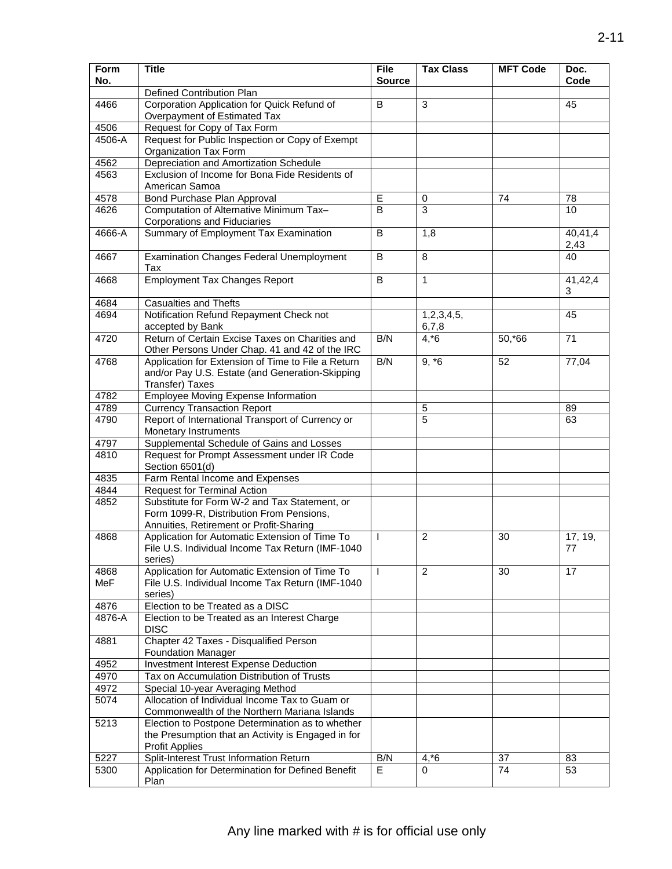| Form<br>No. | <b>Title</b>                                                                                                  | <b>File</b>   | <b>Tax Class</b> | <b>MFT Code</b> | Doc.<br>Code    |
|-------------|---------------------------------------------------------------------------------------------------------------|---------------|------------------|-----------------|-----------------|
|             | Defined Contribution Plan                                                                                     | <b>Source</b> |                  |                 |                 |
| 4466        | Corporation Application for Quick Refund of                                                                   | B             | 3                |                 | 45              |
|             | Overpayment of Estimated Tax                                                                                  |               |                  |                 |                 |
| 4506        | Request for Copy of Tax Form                                                                                  |               |                  |                 |                 |
| 4506-A      | Request for Public Inspection or Copy of Exempt<br>Organization Tax Form                                      |               |                  |                 |                 |
| 4562        | Depreciation and Amortization Schedule                                                                        |               |                  |                 |                 |
| 4563        | Exclusion of Income for Bona Fide Residents of<br>American Samoa                                              |               |                  |                 |                 |
| 4578        | <b>Bond Purchase Plan Approval</b>                                                                            | E             | 0                | 74              | 78              |
| 4626        | Computation of Alternative Minimum Tax-                                                                       | B             | 3                |                 | 10              |
|             | Corporations and Fiduciaries                                                                                  |               |                  |                 |                 |
| 4666-A      | Summary of Employment Tax Examination                                                                         | B             | 1,8              |                 | 40,41,4<br>2,43 |
| 4667        | <b>Examination Changes Federal Unemployment</b><br>Tax                                                        | B             | 8                |                 | 40              |
| 4668        | <b>Employment Tax Changes Report</b>                                                                          | B             | 1                |                 | 41,42,4         |
| 4684        | <b>Casualties and Thefts</b>                                                                                  |               |                  |                 | 3               |
| 4694        | Notification Refund Repayment Check not                                                                       |               | 1,2,3,4,5,       |                 | 45              |
|             | accepted by Bank                                                                                              |               | 6,7,8            |                 |                 |
| 4720        | Return of Certain Excise Taxes on Charities and<br>Other Persons Under Chap. 41 and 42 of the IRC             | B/N           | $4, *6$          | 50,*66          | 71              |
| 4768        | Application for Extension of Time to File a Return                                                            | B/N           | $9, *6$          | 52              | 77,04           |
|             | and/or Pay U.S. Estate (and Generation-Skipping                                                               |               |                  |                 |                 |
|             | Transfer) Taxes                                                                                               |               |                  |                 |                 |
| 4782        | <b>Employee Moving Expense Information</b>                                                                    |               |                  |                 |                 |
| 4789        | <b>Currency Transaction Report</b>                                                                            |               | 5                |                 | 89              |
| 4790        | Report of International Transport of Currency or                                                              |               | 5                |                 | 63              |
|             | Monetary Instruments                                                                                          |               |                  |                 |                 |
| 4797        | Supplemental Schedule of Gains and Losses                                                                     |               |                  |                 |                 |
| 4810        | Request for Prompt Assessment under IR Code<br>Section 6501(d)                                                |               |                  |                 |                 |
| 4835        | Farm Rental Income and Expenses                                                                               |               |                  |                 |                 |
| 4844        | <b>Request for Terminal Action</b>                                                                            |               |                  |                 |                 |
| 4852        | Substitute for Form W-2 and Tax Statement, or<br>Form 1099-R, Distribution From Pensions,                     |               |                  |                 |                 |
|             | Annuities, Retirement or Profit-Sharing                                                                       |               |                  |                 |                 |
| 4868        | Application for Automatic Extension of Time To<br>File U.S. Individual Income Tax Return (IMF-1040<br>series) | $\mathbf{I}$  | $\overline{2}$   | 30              | 17, 19,<br>77   |
| 4868        | Application for Automatic Extension of Time To                                                                | $\mathbf{I}$  | $\overline{2}$   | 30              | 17              |
| <b>MeF</b>  | File U.S. Individual Income Tax Return (IMF-1040)<br>series)                                                  |               |                  |                 |                 |
| 4876        | Election to be Treated as a DISC                                                                              |               |                  |                 |                 |
| 4876-A      | Election to be Treated as an Interest Charge<br><b>DISC</b>                                                   |               |                  |                 |                 |
| 4881        | Chapter 42 Taxes - Disqualified Person<br><b>Foundation Manager</b>                                           |               |                  |                 |                 |
| 4952        | <b>Investment Interest Expense Deduction</b>                                                                  |               |                  |                 |                 |
| 4970        | Tax on Accumulation Distribution of Trusts                                                                    |               |                  |                 |                 |
| 4972        | Special 10-year Averaging Method                                                                              |               |                  |                 |                 |
| 5074        | Allocation of Individual Income Tax to Guam or                                                                |               |                  |                 |                 |
|             | Commonwealth of the Northern Mariana Islands                                                                  |               |                  |                 |                 |
| 5213        | Election to Postpone Determination as to whether                                                              |               |                  |                 |                 |
|             | the Presumption that an Activity is Engaged in for                                                            |               |                  |                 |                 |
|             | <b>Profit Applies</b>                                                                                         |               |                  |                 |                 |
| 5227        | Split-Interest Trust Information Return                                                                       | B/N           | $4, *6$          | 37              | 83              |
| 5300        | Application for Determination for Defined Benefit                                                             | E             | $\Omega$         | 74              | 53              |
|             | Plan                                                                                                          |               |                  |                 |                 |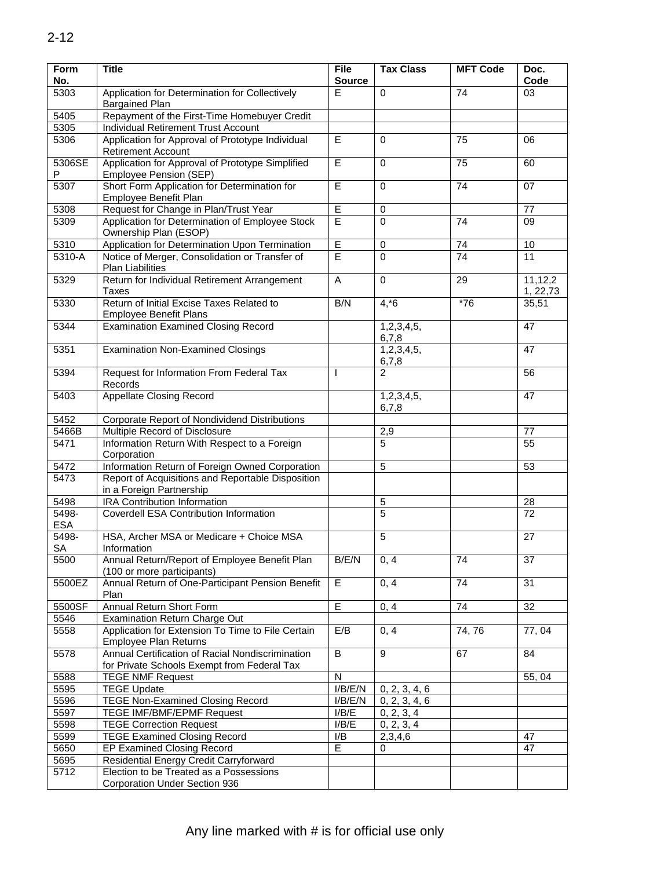| <b>Form</b><br>No. | <b>Title</b>                                                                                    |                         | <b>Tax Class</b>    | <b>MFT Code</b> | Doc.<br>Code        |
|--------------------|-------------------------------------------------------------------------------------------------|-------------------------|---------------------|-----------------|---------------------|
| 5303               | Application for Determination for Collectively                                                  | Е                       | 0                   | 74              | 03                  |
|                    | <b>Bargained Plan</b>                                                                           |                         |                     |                 |                     |
| 5405               | Repayment of the First-Time Homebuyer Credit                                                    |                         |                     |                 |                     |
| 5305               | <b>Individual Retirement Trust Account</b>                                                      |                         |                     |                 |                     |
| 5306               | Application for Approval of Prototype Individual<br><b>Retirement Account</b>                   | E                       | 0                   | 75              | 06                  |
| 5306SE<br>P        | Application for Approval of Prototype Simplified<br><b>Employee Pension (SEP)</b>               | $\overline{E}$          | $\mathbf 0$         | 75              | 60                  |
| 5307               | Short Form Application for Determination for<br>Employee Benefit Plan                           | $\overline{\mathsf{E}}$ | $\mathbf 0$         | 74              | 07                  |
| 5308               | Request for Change in Plan/Trust Year                                                           | E                       | 0                   |                 | 77                  |
| 5309               | Application for Determination of Employee Stock                                                 | Ē                       | $\mathbf 0$         | 74              | 09                  |
|                    | Ownership Plan (ESOP)                                                                           |                         |                     |                 |                     |
| 5310               | Application for Determination Upon Termination                                                  | E                       | 0                   | 74              | 10                  |
| 5310-A             | Notice of Merger, Consolidation or Transfer of<br><b>Plan Liabilities</b>                       | E                       | 0                   | 74              | 11                  |
| 5329               | Return for Individual Retirement Arrangement<br><b>Taxes</b>                                    | $\overline{A}$          | $\mathbf 0$         | 29              | 11,12,2<br>1, 22,73 |
| 5330               | Return of Initial Excise Taxes Related to<br><b>Employee Benefit Plans</b>                      | B/N                     | $4, *6$             | $*76$           | 35,51               |
| 5344               | <b>Examination Examined Closing Record</b>                                                      |                         | 1,2,3,4,5,<br>6,7,8 |                 | 47                  |
| 5351               | <b>Examination Non-Examined Closings</b>                                                        |                         | 1,2,3,4,5,<br>6,7,8 |                 | 47                  |
| 5394               | Request for Information From Federal Tax<br>Records                                             |                         | $\mathfrak{p}$      |                 | 56                  |
| 5403               | <b>Appellate Closing Record</b>                                                                 |                         | 1,2,3,4,5,<br>6,7,8 |                 | 47                  |
| 5452               | Corporate Report of Nondividend Distributions                                                   |                         |                     |                 |                     |
| 5466B              | Multiple Record of Disclosure                                                                   |                         | 2,9                 |                 | 77                  |
| 5471               | Information Return With Respect to a Foreign<br>Corporation                                     |                         | $\overline{5}$      |                 | 55                  |
| 5472               | Information Return of Foreign Owned Corporation                                                 |                         | 5                   |                 | 53                  |
| 5473               | Report of Acquisitions and Reportable Disposition<br>in a Foreign Partnership                   |                         |                     |                 |                     |
| 5498               | <b>IRA Contribution Information</b>                                                             |                         | 5                   |                 | 28                  |
| 5498-              | <b>Coverdell ESA Contribution Information</b>                                                   |                         | $\overline{5}$      |                 | 72                  |
| <b>ESA</b>         |                                                                                                 |                         |                     |                 |                     |
| 5498-<br><b>SA</b> | HSA, Archer MSA or Medicare + Choice MSA<br>Information                                         |                         | 5                   |                 | 27                  |
| 5500               | Annual Return/Report of Employee Benefit Plan<br>(100 or more participants)                     | B/E/N                   | 0, 4                | 74              | 37                  |
| 5500EZ             | Annual Return of One-Participant Pension Benefit<br>Plan                                        | E                       | 0, 4                | 74              | 31                  |
| 5500SF             | Annual Return Short Form                                                                        | $\overline{E}$          | 0, 4                | 74              | 32                  |
| 5546               | <b>Examination Return Charge Out</b>                                                            |                         |                     |                 |                     |
| 5558               | Application for Extension To Time to File Certain<br>Employee Plan Returns                      | E/B                     | 0, 4                | 74,76           | 77,04               |
| 5578               | Annual Certification of Racial Nondiscrimination<br>for Private Schools Exempt from Federal Tax | $\overline{B}$          | 9                   | 67              | 84                  |
| 5588               | <b>TEGE NMF Request</b>                                                                         | N                       |                     |                 | 55, 04              |
| 5595               | <b>TEGE Update</b>                                                                              | $\overline{I/B}/E/N$    | 0, 2, 3, 4, 6       |                 |                     |
| 5596               | <b>TEGE Non-Examined Closing Record</b>                                                         | I/B/E/N                 | 0, 2, 3, 4, 6       |                 |                     |
| 5597               | TEGE IMF/BMF/EPMF Request                                                                       | I/B/E                   | 0, 2, 3, 4          |                 |                     |
| 5598               | <b>TEGE Correction Request</b>                                                                  | I/B/E                   | 0, 2, 3, 4          |                 |                     |
| 5599               | <b>TEGE Examined Closing Record</b>                                                             | I/B                     | 2,3,4,6             |                 | 47                  |
| 5650               | <b>EP Examined Closing Record</b>                                                               | E                       | 0                   |                 | 47                  |
| 5695               | Residential Energy Credit Carryforward                                                          |                         |                     |                 |                     |
| 5712               | Election to be Treated as a Possessions                                                         |                         |                     |                 |                     |
|                    | Corporation Under Section 936                                                                   |                         |                     |                 |                     |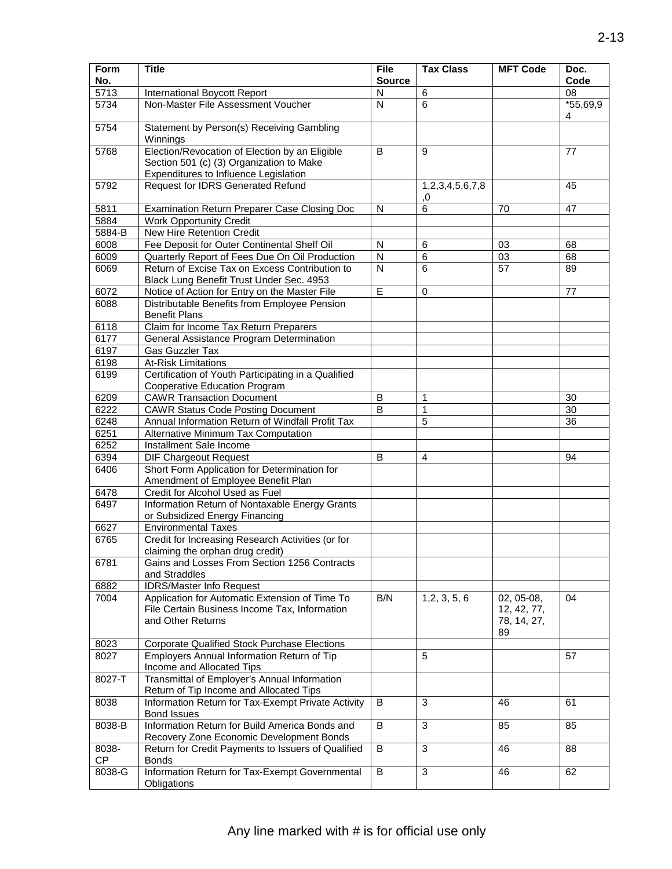| Form<br>No.  | <b>Title</b>                                                                            | <b>File</b><br><b>Source</b> | <b>Tax Class</b>      | <b>MFT Code</b>   | Doc.<br>Code    |
|--------------|-----------------------------------------------------------------------------------------|------------------------------|-----------------------|-------------------|-----------------|
| 5713         | International Boycott Report                                                            | N                            | 6                     |                   | 08              |
| 5734         | Non-Master File Assessment Voucher                                                      | N                            | 6                     |                   | $*55,69,9$      |
|              |                                                                                         |                              |                       |                   | 4               |
| 5754         | Statement by Person(s) Receiving Gambling<br>Winnings                                   |                              |                       |                   |                 |
| 5768         | Election/Revocation of Election by an Eligible                                          | B                            | 9                     |                   | 77              |
|              | Section 501 (c) (3) Organization to Make                                                |                              |                       |                   |                 |
|              | Expenditures to Influence Legislation                                                   |                              |                       |                   |                 |
| 5792         | Request for IDRS Generated Refund                                                       |                              | 1,2,3,4,5,6,7,8<br>0, |                   | 45              |
| 5811         | Examination Return Preparer Case Closing Doc                                            | N                            | 6                     | 70                | 47              |
| 5884         | <b>Work Opportunity Credit</b>                                                          |                              |                       |                   |                 |
| 5884-B       | New Hire Retention Credit                                                               |                              |                       |                   |                 |
| 6008         | Fee Deposit for Outer Continental Shelf Oil                                             | N                            | 6                     | 03                | 68              |
| 6009         | Quarterly Report of Fees Due On Oil Production                                          | N                            | 6                     | 03                | 68              |
| 6069         | Return of Excise Tax on Excess Contribution to                                          | N                            | 6                     | 57                | 89              |
|              | Black Lung Benefit Trust Under Sec. 4953                                                |                              |                       |                   |                 |
| 6072         | Notice of Action for Entry on the Master File                                           | Έ                            | $\mathbf 0$           |                   | 77              |
| 6088         | Distributable Benefits from Employee Pension<br><b>Benefit Plans</b>                    |                              |                       |                   |                 |
| 6118         | Claim for Income Tax Return Preparers                                                   |                              |                       |                   |                 |
| 6177         | General Assistance Program Determination                                                |                              |                       |                   |                 |
| 6197         | <b>Gas Guzzler Tax</b>                                                                  |                              |                       |                   |                 |
| 6198         | <b>At-Risk Limitations</b>                                                              |                              |                       |                   |                 |
| 6199         | Certification of Youth Participating in a Qualified                                     |                              |                       |                   |                 |
|              | Cooperative Education Program                                                           | B                            |                       |                   |                 |
| 6209         | <b>CAWR Transaction Document</b>                                                        |                              | 1                     |                   | 30              |
| 6222         | <b>CAWR Status Code Posting Document</b>                                                | B                            | $\mathbf{1}$          |                   | 30              |
| 6248         | Annual Information Return of Windfall Profit Tax                                        |                              | 5                     |                   | $\overline{36}$ |
| 6251<br>6252 | Alternative Minimum Tax Computation                                                     |                              |                       |                   |                 |
| 6394         | Installment Sale Income<br><b>DIF Chargeout Request</b>                                 | B                            | 4                     |                   | 94              |
| 6406         | Short Form Application for Determination for                                            |                              |                       |                   |                 |
|              | Amendment of Employee Benefit Plan                                                      |                              |                       |                   |                 |
| 6478         | Credit for Alcohol Used as Fuel                                                         |                              |                       |                   |                 |
| 6497         | Information Return of Nontaxable Energy Grants                                          |                              |                       |                   |                 |
|              | or Subsidized Energy Financing                                                          |                              |                       |                   |                 |
| 6627         | <b>Environmental Taxes</b>                                                              |                              |                       |                   |                 |
| 6765         | Credit for Increasing Research Activities (or for                                       |                              |                       |                   |                 |
|              | claiming the orphan drug credit)                                                        |                              |                       |                   |                 |
| 6781         | Gains and Losses From Section 1256 Contracts                                            |                              |                       |                   |                 |
|              | and Straddles                                                                           |                              |                       |                   |                 |
| 6882         | <b>IDRS/Master Info Request</b>                                                         |                              |                       |                   |                 |
| 7004         | Application for Automatic Extension of Time To                                          | B/N                          | 1, 2, 3, 5, 6         | 02, 05-08,        | 04              |
|              | File Certain Business Income Tax, Information                                           |                              |                       | 12, 42, 77,       |                 |
|              | and Other Returns                                                                       |                              |                       | 78, 14, 27,<br>89 |                 |
| 8023         | Corporate Qualified Stock Purchase Elections                                            |                              |                       |                   |                 |
| 8027         | Employers Annual Information Return of Tip                                              |                              | 5                     |                   | 57              |
|              | Income and Allocated Tips                                                               |                              |                       |                   |                 |
| 8027-T       | Transmittal of Employer's Annual Information<br>Return of Tip Income and Allocated Tips |                              |                       |                   |                 |
| 8038         | Information Return for Tax-Exempt Private Activity<br><b>Bond Issues</b>                | B                            | 3                     | 46                | 61              |
| 8038-B       | Information Return for Build America Bonds and                                          | B                            | 3                     | 85                | 85              |
|              | Recovery Zone Economic Development Bonds                                                |                              |                       |                   |                 |
| 8038-<br>CP  | Return for Credit Payments to Issuers of Qualified<br><b>Bonds</b>                      | B                            | 3                     | 46                | 88              |
| 8038-G       | Information Return for Tax-Exempt Governmental<br>Obligations                           | B                            | $\mathbf{3}$          | 46                | 62              |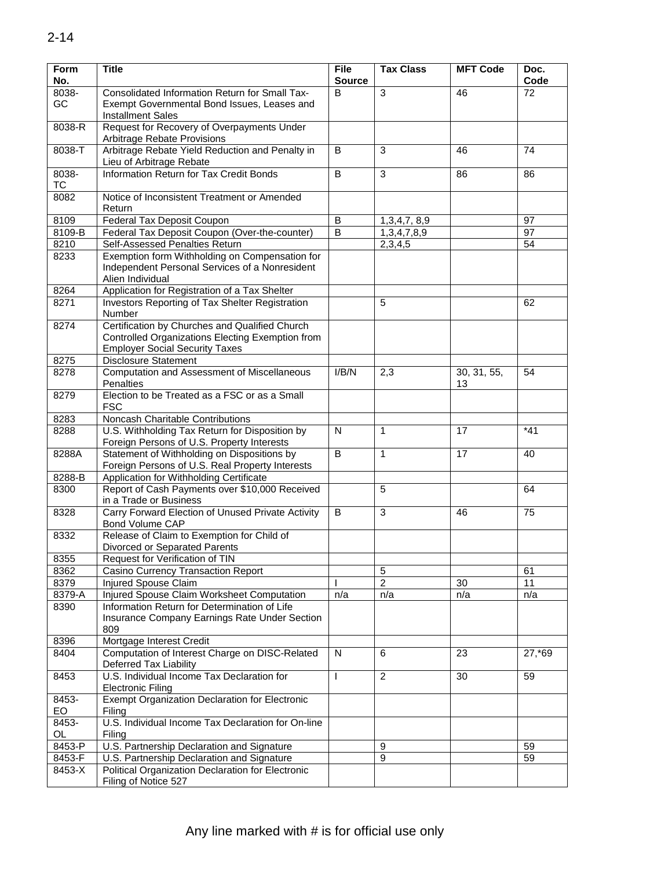| <b>Form</b><br>No. | <b>Title</b>                                                                                                                                | File<br><b>Source</b> | <b>Tax Class</b> | <b>MFT Code</b>   | Doc.<br>Code |
|--------------------|---------------------------------------------------------------------------------------------------------------------------------------------|-----------------------|------------------|-------------------|--------------|
| 8038-              | Consolidated Information Return for Small Tax-                                                                                              | B                     | 3                | 46                | 72           |
| GC                 | Exempt Governmental Bond Issues, Leases and                                                                                                 |                       |                  |                   |              |
| 8038-R             | <b>Installment Sales</b><br>Request for Recovery of Overpayments Under                                                                      |                       |                  |                   |              |
|                    | Arbitrage Rebate Provisions                                                                                                                 |                       |                  |                   |              |
| 8038-T             | Arbitrage Rebate Yield Reduction and Penalty in<br>Lieu of Arbitrage Rebate                                                                 | B                     | 3                | 46                | 74           |
| 8038-<br>ТC        | Information Return for Tax Credit Bonds                                                                                                     | B                     | 3                | 86                | 86           |
| 8082               | Notice of Inconsistent Treatment or Amended<br>Return                                                                                       |                       |                  |                   |              |
| 8109               | Federal Tax Deposit Coupon                                                                                                                  | B                     | 1,3,4,7,8,9      |                   | 97           |
| 8109-B             | Federal Tax Deposit Coupon (Over-the-counter)                                                                                               | B                     | 1,3,4,7,8,9      |                   | 97           |
| 8210               | Self-Assessed Penalties Return                                                                                                              |                       | 2,3,4,5          |                   | 54           |
| 8233               | Exemption form Withholding on Compensation for<br>Independent Personal Services of a Nonresident<br>Alien Individual                        |                       |                  |                   |              |
| 8264               | Application for Registration of a Tax Shelter                                                                                               |                       |                  |                   |              |
| 8271               | Investors Reporting of Tax Shelter Registration<br>Number                                                                                   |                       | 5                |                   | 62           |
| 8274               | Certification by Churches and Qualified Church<br>Controlled Organizations Electing Exemption from<br><b>Employer Social Security Taxes</b> |                       |                  |                   |              |
| 8275               | <b>Disclosure Statement</b>                                                                                                                 |                       |                  |                   |              |
| 8278               | Computation and Assessment of Miscellaneous<br>Penalties                                                                                    |                       | 2,3              | 30, 31, 55,<br>13 | 54           |
| 8279               | Election to be Treated as a FSC or as a Small<br><b>FSC</b>                                                                                 |                       |                  |                   |              |
| 8283               | Noncash Charitable Contributions                                                                                                            |                       |                  |                   |              |
| 8288               | U.S. Withholding Tax Return for Disposition by<br>Foreign Persons of U.S. Property Interests                                                |                       | 1                | 17                | $*41$        |
| 8288A              | Statement of Withholding on Dispositions by<br>Foreign Persons of U.S. Real Property Interests                                              | B                     | 1                | 17                | 40           |
| 8288-B             | Application for Withholding Certificate                                                                                                     |                       |                  |                   |              |
| 8300               | Report of Cash Payments over \$10,000 Received                                                                                              |                       | 5                |                   | 64           |
|                    | in a Trade or Business                                                                                                                      |                       |                  |                   |              |
| 8328               | Carry Forward Election of Unused Private Activity<br><b>Bond Volume CAP</b>                                                                 | B                     | 3                | 46                | 75           |
| 8332               | Release of Claim to Exemption for Child of<br>Divorced or Separated Parents                                                                 |                       |                  |                   |              |
| 8355               | Request for Verification of TIN                                                                                                             |                       |                  |                   |              |
| 8362               | Casino Currency Transaction Report                                                                                                          |                       | 5                |                   | 61           |
| 8379               | Injured Spouse Claim                                                                                                                        |                       | $\overline{2}$   | 30                | 11           |
| 8379-A             | Injured Spouse Claim Worksheet Computation                                                                                                  | n/a                   | n/a              | n/a               | n/a          |
| 8390               | Information Return for Determination of Life<br>Insurance Company Earnings Rate Under Section<br>809                                        |                       |                  |                   |              |
| 8396               | Mortgage Interest Credit                                                                                                                    |                       |                  |                   |              |
| 8404               | Computation of Interest Charge on DISC-Related<br>Deferred Tax Liability                                                                    | N                     | 6                | 23                | 27,*69       |
| 8453               | U.S. Individual Income Tax Declaration for<br><b>Electronic Filing</b>                                                                      |                       | $\overline{c}$   | 30                | 59           |
| 8453-<br>EO        | Exempt Organization Declaration for Electronic<br>Filing                                                                                    |                       |                  |                   |              |
| 8453-<br>OL        | U.S. Individual Income Tax Declaration for On-line<br>Filing                                                                                |                       |                  |                   |              |
| 8453-P             | U.S. Partnership Declaration and Signature                                                                                                  |                       | 9                |                   | 59           |
| 8453-F             | U.S. Partnership Declaration and Signature                                                                                                  |                       | 9                |                   | 59           |
| 8453-X             | Political Organization Declaration for Electronic                                                                                           |                       |                  |                   |              |
|                    | Filing of Notice 527                                                                                                                        |                       |                  |                   |              |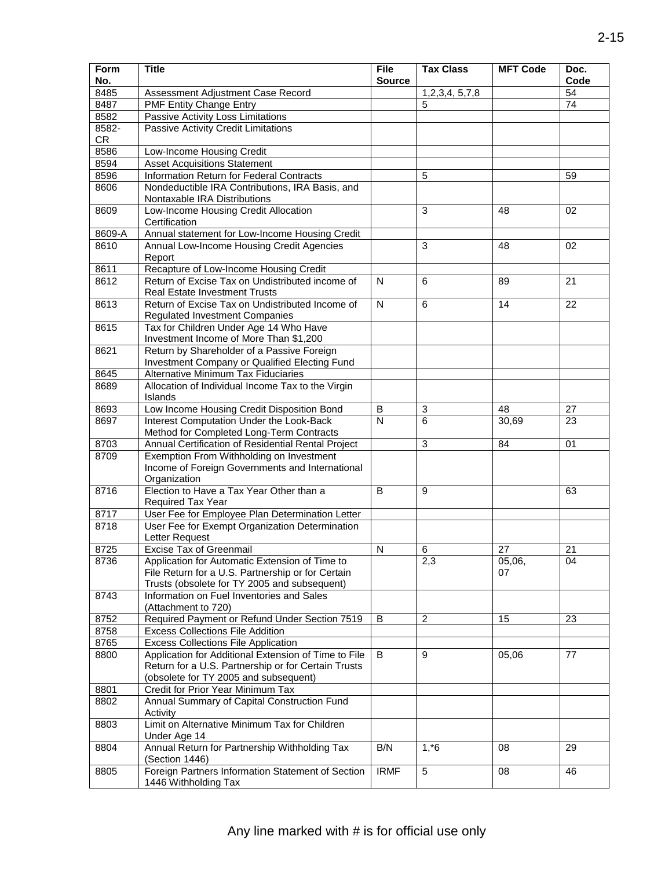| <b>Form</b><br>No. | File<br><b>Title</b>                                                                      |                         | <b>Tax Class</b>          | <b>MFT Code</b> | Doc.<br>Code    |
|--------------------|-------------------------------------------------------------------------------------------|-------------------------|---------------------------|-----------------|-----------------|
| 8485               | Assessment Adjustment Case Record                                                         | <b>Source</b>           | 1,2,3,4, 5,7,8            |                 | 54              |
| 8487               | <b>PMF Entity Change Entry</b>                                                            |                         | 5                         |                 | 74              |
| 8582               | Passive Activity Loss Limitations                                                         |                         |                           |                 |                 |
| 8582-              | Passive Activity Credit Limitations                                                       |                         |                           |                 |                 |
| <b>CR</b>          |                                                                                           |                         |                           |                 |                 |
| 8586               | Low-Income Housing Credit                                                                 |                         |                           |                 |                 |
| 8594               | <b>Asset Acquisitions Statement</b>                                                       |                         |                           |                 |                 |
| 8596               | Information Return for Federal Contracts                                                  |                         | 5                         |                 | 59              |
| 8606               | Nondeductible IRA Contributions, IRA Basis, and                                           |                         |                           |                 |                 |
|                    | Nontaxable IRA Distributions                                                              |                         |                           |                 |                 |
| 8609               | Low-Income Housing Credit Allocation                                                      |                         | 3                         | 48              | 02              |
|                    | Certification                                                                             |                         |                           |                 |                 |
| 8609-A             | Annual statement for Low-Income Housing Credit                                            |                         |                           |                 |                 |
| 8610               | Annual Low-Income Housing Credit Agencies                                                 |                         | 3                         | 48              | 02              |
|                    | Report                                                                                    |                         |                           |                 |                 |
| 8611               | Recapture of Low-Income Housing Credit                                                    |                         |                           |                 |                 |
| 8612               | Return of Excise Tax on Undistributed income of                                           | $\mathsf{N}$            | 6                         | 89              | 21              |
|                    | <b>Real Estate Investment Trusts</b>                                                      |                         |                           |                 |                 |
| 8613               | Return of Excise Tax on Undistributed Income of                                           | $\overline{\mathsf{N}}$ | 6                         | 14              | 22              |
|                    | <b>Regulated Investment Companies</b>                                                     |                         |                           |                 |                 |
| 8615               | Tax for Children Under Age 14 Who Have                                                    |                         |                           |                 |                 |
|                    | Investment Income of More Than \$1,200                                                    |                         |                           |                 |                 |
| 8621               | Return by Shareholder of a Passive Foreign                                                |                         |                           |                 |                 |
|                    | Investment Company or Qualified Electing Fund                                             |                         |                           |                 |                 |
| 8645               | Alternative Minimum Tax Fiduciaries                                                       |                         |                           |                 |                 |
| 8689               | Allocation of Individual Income Tax to the Virgin                                         |                         |                           |                 |                 |
|                    | Islands                                                                                   |                         |                           |                 |                 |
| 8693               | Low Income Housing Credit Disposition Bond                                                |                         | $\mathbf{3}$              | 48              | 27              |
| 8697               | Interest Computation Under the Look-Back                                                  |                         | 6                         | 30,69           | $\overline{23}$ |
|                    | Method for Completed Long-Term Contracts                                                  |                         |                           |                 |                 |
| 8703               | Annual Certification of Residential Rental Project                                        |                         | $\ensuremath{\mathsf{3}}$ | 84              | 01              |
| 8709               | Exemption From Withholding on Investment                                                  |                         |                           |                 |                 |
|                    | Income of Foreign Governments and International                                           |                         |                           |                 |                 |
|                    | Organization                                                                              |                         |                           |                 |                 |
| 8716               | Election to Have a Tax Year Other than a                                                  | B                       | 9                         |                 | 63              |
|                    | Required Tax Year                                                                         |                         |                           |                 |                 |
| 8717               | User Fee for Employee Plan Determination Letter                                           |                         |                           |                 |                 |
| 8718               | User Fee for Exempt Organization Determination                                            |                         |                           |                 |                 |
|                    | Letter Request                                                                            |                         |                           |                 |                 |
| 8725               | Excise Tax of Greenmail                                                                   | $\mathsf{N}$            | 6                         | 27              | 21              |
| 8736               | Application for Automatic Extension of Time to                                            |                         | 2,3                       | 05,06,          | 04              |
|                    | File Return for a U.S. Partnership or for Certain                                         |                         |                           | 07              |                 |
|                    | Trusts (obsolete for TY 2005 and subsequent)<br>Information on Fuel Inventories and Sales |                         |                           |                 |                 |
| 8743               | (Attachment to 720)                                                                       |                         |                           |                 |                 |
| 8752               | Required Payment or Refund Under Section 7519                                             | B                       | 2                         | 15              | 23              |
| 8758               | <b>Excess Collections File Addition</b>                                                   |                         |                           |                 |                 |
| 8765               | <b>Excess Collections File Application</b>                                                |                         |                           |                 |                 |
| 8800               | Application for Additional Extension of Time to File                                      | B                       | 9                         | 05,06           | 77              |
|                    | Return for a U.S. Partnership or for Certain Trusts                                       |                         |                           |                 |                 |
|                    | (obsolete for TY 2005 and subsequent)                                                     |                         |                           |                 |                 |
| 8801               | Credit for Prior Year Minimum Tax                                                         |                         |                           |                 |                 |
| 8802               | Annual Summary of Capital Construction Fund                                               |                         |                           |                 |                 |
|                    | Activity                                                                                  |                         |                           |                 |                 |
| 8803               | Limit on Alternative Minimum Tax for Children                                             |                         |                           |                 |                 |
|                    | Under Age 14                                                                              |                         |                           |                 |                 |
| 8804               | Annual Return for Partnership Withholding Tax                                             | B/N                     | $1, *6$                   | 08              | 29              |
|                    | (Section 1446)                                                                            |                         |                           |                 |                 |
| 8805               | Foreign Partners Information Statement of Section                                         | <b>IRMF</b>             | $\overline{5}$            | 08              | 46              |
|                    | 1446 Withholding Tax                                                                      |                         |                           |                 |                 |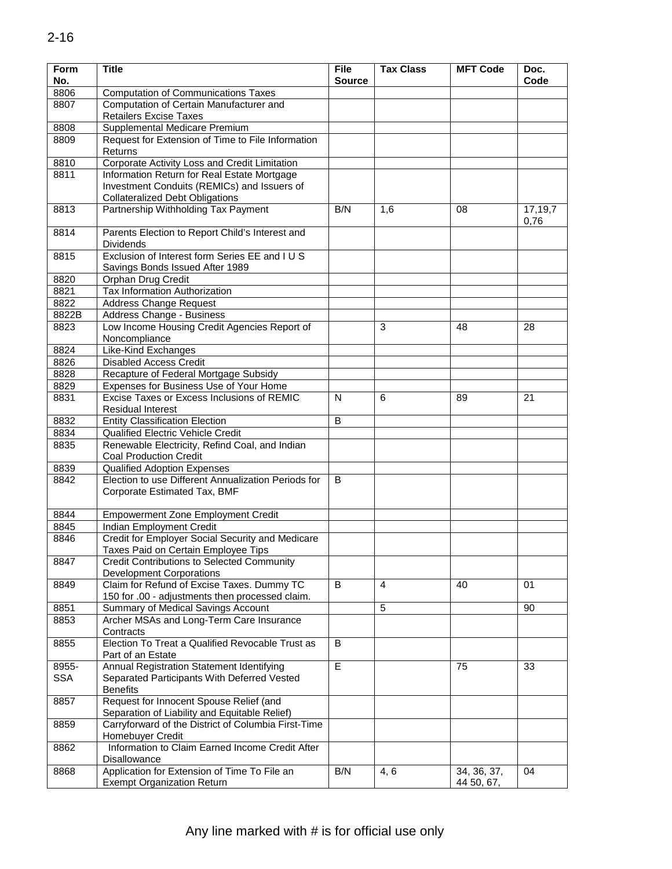| <b>Form</b><br>No. | <b>Title</b>                                                                                  |               | <b>Tax Class</b> | <b>MFT Code</b>           | Doc.<br>Code    |
|--------------------|-----------------------------------------------------------------------------------------------|---------------|------------------|---------------------------|-----------------|
| 8806               | <b>Computation of Communications Taxes</b>                                                    | <b>Source</b> |                  |                           |                 |
| 8807               | Computation of Certain Manufacturer and                                                       |               |                  |                           |                 |
|                    | <b>Retailers Excise Taxes</b>                                                                 |               |                  |                           |                 |
| 8808               | Supplemental Medicare Premium                                                                 |               |                  |                           |                 |
| 8809               | Request for Extension of Time to File Information<br>Returns                                  |               |                  |                           |                 |
| 8810               | Corporate Activity Loss and Credit Limitation                                                 |               |                  |                           |                 |
| 8811               | Information Return for Real Estate Mortgage<br>Investment Conduits (REMICs) and Issuers of    |               |                  |                           |                 |
|                    | <b>Collateralized Debt Obligations</b>                                                        |               |                  |                           |                 |
| 8813               | Partnership Withholding Tax Payment                                                           | B/N           | 1,6              | 08                        | 17,19,7<br>0,76 |
| 8814               | Parents Election to Report Child's Interest and<br><b>Dividends</b>                           |               |                  |                           |                 |
| 8815               | Exclusion of Interest form Series EE and I U S<br>Savings Bonds Issued After 1989             |               |                  |                           |                 |
| 8820               | Orphan Drug Credit                                                                            |               |                  |                           |                 |
| 8821               | Tax Information Authorization                                                                 |               |                  |                           |                 |
| 8822               | <b>Address Change Request</b>                                                                 |               |                  |                           |                 |
| 8822B              | Address Change - Business                                                                     |               |                  |                           |                 |
| 8823               | Low Income Housing Credit Agencies Report of<br>Noncompliance                                 |               | 3                | 48                        | 28              |
| 8824               | <b>Like-Kind Exchanges</b>                                                                    |               |                  |                           |                 |
| 8826               | <b>Disabled Access Credit</b>                                                                 |               |                  |                           |                 |
| 8828               | Recapture of Federal Mortgage Subsidy                                                         |               |                  |                           |                 |
| 8829               | Expenses for Business Use of Your Home                                                        |               |                  |                           |                 |
| 8831               | Excise Taxes or Excess Inclusions of REMIC<br><b>Residual Interest</b>                        |               | 6                | 89                        | 21              |
| 8832               | <b>Entity Classification Election</b>                                                         |               |                  |                           |                 |
| 8834               | Qualified Electric Vehicle Credit                                                             | B             |                  |                           |                 |
| 8835               | Renewable Electricity, Refind Coal, and Indian                                                |               |                  |                           |                 |
|                    | <b>Coal Production Credit</b>                                                                 |               |                  |                           |                 |
| 8839<br>8842       | <b>Qualified Adoption Expenses</b><br>Election to use Different Annualization Periods for     | B             |                  |                           |                 |
|                    | Corporate Estimated Tax, BMF                                                                  |               |                  |                           |                 |
| 8844               | <b>Empowerment Zone Employment Credit</b>                                                     |               |                  |                           |                 |
| 8845               | Indian Employment Credit                                                                      |               |                  |                           |                 |
| 8846               | Credit for Employer Social Security and Medicare<br>Taxes Paid on Certain Employee Tips       |               |                  |                           |                 |
| 8847               | <b>Credit Contributions to Selected Community</b><br><b>Development Corporations</b>          |               |                  |                           |                 |
| 8849               | Claim for Refund of Excise Taxes. Dummy TC<br>150 for .00 - adjustments then processed claim. | B             | 4                | 40                        | 01              |
| 8851               | Summary of Medical Savings Account                                                            |               | 5                |                           | 90              |
| 8853               | Archer MSAs and Long-Term Care Insurance<br>Contracts                                         |               |                  |                           |                 |
| 8855               | Election To Treat a Qualified Revocable Trust as                                              | B             |                  |                           |                 |
| 8955-              | Part of an Estate<br>Annual Registration Statement Identifying                                | E             |                  | 75                        | 33              |
| <b>SSA</b>         | Separated Participants With Deferred Vested<br><b>Benefits</b>                                |               |                  |                           |                 |
| 8857               | Request for Innocent Spouse Relief (and<br>Separation of Liability and Equitable Relief)      |               |                  |                           |                 |
| 8859               | Carryforward of the District of Columbia First-Time<br>Homebuyer Credit                       |               |                  |                           |                 |
| 8862               | Information to Claim Earned Income Credit After<br>Disallowance                               |               |                  |                           |                 |
| 8868               | Application for Extension of Time To File an<br><b>Exempt Organization Return</b>             | B/N           | 4, 6             | 34, 36, 37,<br>44 50, 67, | 04              |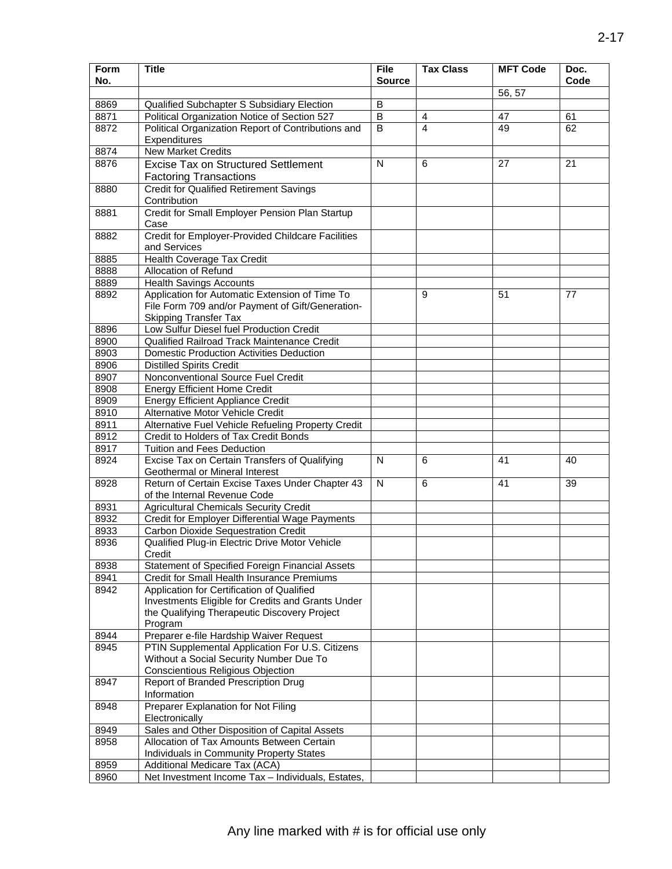| <b>Form</b>  | <b>Title</b>                                                                                      | <b>File</b>    | <b>Tax Class</b> | <b>MFT Code</b> | Doc. |
|--------------|---------------------------------------------------------------------------------------------------|----------------|------------------|-----------------|------|
| No.          |                                                                                                   | <b>Source</b>  |                  |                 | Code |
|              |                                                                                                   |                |                  | 56, 57          |      |
| 8869         | Qualified Subchapter S Subsidiary Election                                                        | B              |                  |                 |      |
| 8871         | Political Organization Notice of Section 527                                                      | B<br>B         | 4                | 47              | 61   |
| 8872         | Political Organization Report of Contributions and<br>Expenditures                                |                | 4                | 49              | 62   |
| 8874         | <b>New Market Credits</b>                                                                         |                |                  |                 |      |
| 8876         | <b>Excise Tax on Structured Settlement</b>                                                        | $\overline{N}$ | 6                | 27              | 21   |
|              | <b>Factoring Transactions</b>                                                                     |                |                  |                 |      |
| 8880         | <b>Credit for Qualified Retirement Savings</b>                                                    |                |                  |                 |      |
|              | Contribution                                                                                      |                |                  |                 |      |
| 8881         | Credit for Small Employer Pension Plan Startup                                                    |                |                  |                 |      |
|              | Case                                                                                              |                |                  |                 |      |
| 8882         | Credit for Employer-Provided Childcare Facilities<br>and Services                                 |                |                  |                 |      |
| 8885         | Health Coverage Tax Credit                                                                        |                |                  |                 |      |
| 8888         | Allocation of Refund                                                                              |                |                  |                 |      |
| 8889         | <b>Health Savings Accounts</b>                                                                    |                |                  |                 |      |
| 8892         | Application for Automatic Extension of Time To                                                    |                | 9                | 51              | 77   |
|              | File Form 709 and/or Payment of Gift/Generation-                                                  |                |                  |                 |      |
|              | <b>Skipping Transfer Tax</b>                                                                      |                |                  |                 |      |
| 8896         | Low Sulfur Diesel fuel Production Credit                                                          |                |                  |                 |      |
| 8900         | Qualified Railroad Track Maintenance Credit                                                       |                |                  |                 |      |
| 8903         | <b>Domestic Production Activities Deduction</b>                                                   |                |                  |                 |      |
| 8906         | <b>Distilled Spirits Credit</b>                                                                   |                |                  |                 |      |
| 8907         | Nonconventional Source Fuel Credit                                                                |                |                  |                 |      |
| 8908         | <b>Energy Efficient Home Credit</b>                                                               |                |                  |                 |      |
| 8909         | <b>Energy Efficient Appliance Credit</b>                                                          |                |                  |                 |      |
| 8910         | Alternative Motor Vehicle Credit                                                                  |                |                  |                 |      |
| 8911         | Alternative Fuel Vehicle Refueling Property Credit                                                |                |                  |                 |      |
| 8912         | Credit to Holders of Tax Credit Bonds                                                             |                |                  |                 |      |
| 8917<br>8924 | Tuition and Fees Deduction<br>Excise Tax on Certain Transfers of Qualifying                       | N              | 6                | 41              | 40   |
|              | Geothermal or Mineral Interest                                                                    |                |                  |                 |      |
| 8928         | Return of Certain Excise Taxes Under Chapter 43                                                   | N              | 6                | 41              | 39   |
|              | of the Internal Revenue Code                                                                      |                |                  |                 |      |
| 8931         | <b>Agricultural Chemicals Security Credit</b>                                                     |                |                  |                 |      |
| 8932         | Credit for Employer Differential Wage Payments                                                    |                |                  |                 |      |
| 8933         | <b>Carbon Dioxide Sequestration Credit</b>                                                        |                |                  |                 |      |
| 8936         | Qualified Plug-in Electric Drive Motor Vehicle                                                    |                |                  |                 |      |
|              | Credit                                                                                            |                |                  |                 |      |
| 8938         | Statement of Specified Foreign Financial Assets                                                   |                |                  |                 |      |
| 8941         | Credit for Small Health Insurance Premiums                                                        |                |                  |                 |      |
| 8942         | Application for Certification of Qualified                                                        |                |                  |                 |      |
|              | Investments Eligible for Credits and Grants Under<br>the Qualifying Therapeutic Discovery Project |                |                  |                 |      |
|              | Program                                                                                           |                |                  |                 |      |
| 8944         | Preparer e-file Hardship Waiver Request                                                           |                |                  |                 |      |
| 8945         | PTIN Supplemental Application For U.S. Citizens                                                   |                |                  |                 |      |
|              | Without a Social Security Number Due To                                                           |                |                  |                 |      |
|              | Conscientious Religious Objection                                                                 |                |                  |                 |      |
| 8947         | Report of Branded Prescription Drug                                                               |                |                  |                 |      |
|              | Information                                                                                       |                |                  |                 |      |
| 8948         | Preparer Explanation for Not Filing                                                               |                |                  |                 |      |
|              | Electronically                                                                                    |                |                  |                 |      |
| 8949         | Sales and Other Disposition of Capital Assets                                                     |                |                  |                 |      |
| 8958         | Allocation of Tax Amounts Between Certain                                                         |                |                  |                 |      |
|              | Individuals in Community Property States                                                          |                |                  |                 |      |
| 8959         | Additional Medicare Tax (ACA)                                                                     |                |                  |                 |      |
| 8960         | Net Investment Income Tax - Individuals, Estates,                                                 |                |                  |                 |      |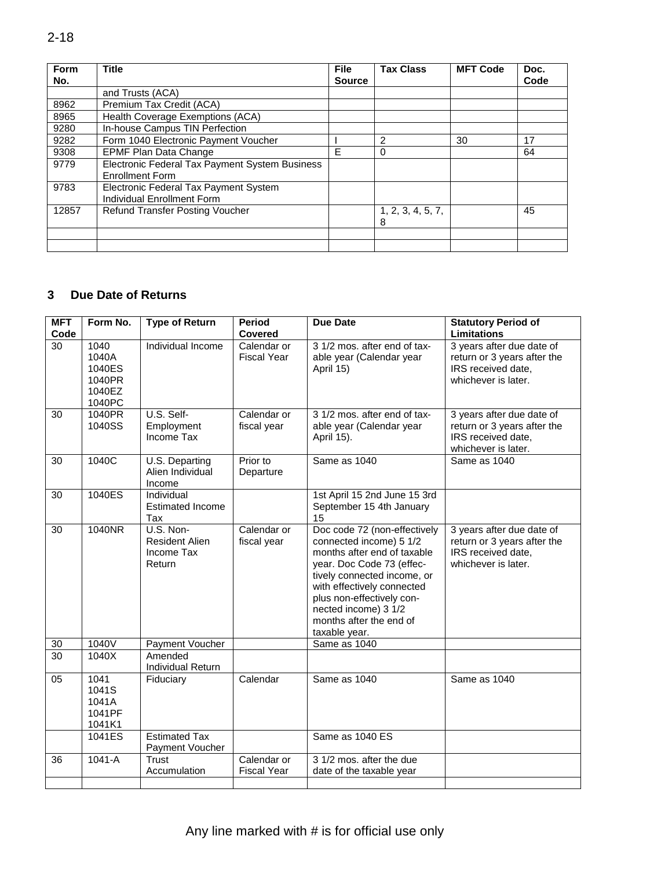| <b>Form</b> | <b>Title</b>                                   |               | <b>Tax Class</b>  | <b>MFT Code</b> | Doc. |
|-------------|------------------------------------------------|---------------|-------------------|-----------------|------|
| No.         |                                                | <b>Source</b> |                   |                 | Code |
|             | and Trusts (ACA)                               |               |                   |                 |      |
| 8962        | Premium Tax Credit (ACA)                       |               |                   |                 |      |
| 8965        | Health Coverage Exemptions (ACA)               |               |                   |                 |      |
| 9280        | In-house Campus TIN Perfection                 |               |                   |                 |      |
| 9282        | Form 1040 Electronic Payment Voucher           |               | $\overline{2}$    | 30              | 17   |
| 9308        | <b>EPMF Plan Data Change</b>                   | E             | 0                 |                 | 64   |
| 9779        | Electronic Federal Tax Payment System Business |               |                   |                 |      |
|             | <b>Enrollment Form</b>                         |               |                   |                 |      |
| 9783        | Electronic Federal Tax Payment System          |               |                   |                 |      |
|             | Individual Enrollment Form                     |               |                   |                 |      |
| 12857       | <b>Refund Transfer Posting Voucher</b>         |               | 1, 2, 3, 4, 5, 7, |                 | 45   |
|             |                                                |               | 8                 |                 |      |
|             |                                                |               |                   |                 |      |
|             |                                                |               |                   |                 |      |
|             |                                                |               |                   |                 |      |
|             |                                                |               |                   |                 |      |
|             |                                                |               |                   |                 |      |
| 3           | <b>Due Date of Returns</b>                     |               |                   |                 |      |
|             |                                                |               |                   |                 |      |

### **Due Date of Returns**

| <b>MFT</b><br>Code | Form No.                                              | <b>Type of Return</b>                                      | <b>Period</b><br>Covered          | <b>Due Date</b>                                                                                                                                                                                                                                                                   | <b>Statutory Period of</b><br><b>Limitations</b>                                                      |
|--------------------|-------------------------------------------------------|------------------------------------------------------------|-----------------------------------|-----------------------------------------------------------------------------------------------------------------------------------------------------------------------------------------------------------------------------------------------------------------------------------|-------------------------------------------------------------------------------------------------------|
| 30                 | 1040<br>1040A<br>1040ES<br>1040PR<br>1040EZ<br>1040PC | Individual Income                                          | Calendar or<br><b>Fiscal Year</b> | 3 1/2 mos. after end of tax-<br>able year (Calendar year<br>April 15)                                                                                                                                                                                                             | 3 years after due date of<br>return or 3 years after the<br>IRS received date,<br>whichever is later. |
| 30                 | 1040PR<br>1040SS                                      | U.S. Self-<br>Employment<br>Income Tax                     | Calendar or<br>fiscal year        | 3 1/2 mos. after end of tax-<br>able year (Calendar year<br>April 15).                                                                                                                                                                                                            | 3 years after due date of<br>return or 3 years after the<br>IRS received date,<br>whichever is later. |
| 30                 | 1040C                                                 | U.S. Departing<br>Alien Individual<br>Income               | Prior to<br>Departure             | Same as 1040                                                                                                                                                                                                                                                                      | Same as 1040                                                                                          |
| 30                 | 1040ES                                                | Individual<br><b>Estimated Income</b><br><b>Tax</b>        |                                   | 1st April 15 2nd June 15 3rd<br>September 15 4th January<br>15                                                                                                                                                                                                                    |                                                                                                       |
| 30                 | 1040NR                                                | U.S. Non-<br><b>Resident Alien</b><br>Income Tax<br>Return | Calendar or<br>fiscal year        | Doc code 72 (non-effectively<br>connected income) 5 1/2<br>months after end of taxable<br>year. Doc Code 73 (effec-<br>tively connected income, or<br>with effectively connected<br>plus non-effectively con-<br>nected income) 3 1/2<br>months after the end of<br>taxable year. | 3 years after due date of<br>return or 3 years after the<br>IRS received date,<br>whichever is later. |
| 30                 | 1040V                                                 | Payment Voucher                                            |                                   | Same as 1040                                                                                                                                                                                                                                                                      |                                                                                                       |
| $\overline{30}$    | 1040X                                                 | Amended<br>Individual Return                               |                                   |                                                                                                                                                                                                                                                                                   |                                                                                                       |
| 05                 | 1041<br>1041S<br>1041A<br>1041PF<br>1041K1            | Fiduciary                                                  | Calendar                          | Same as 1040                                                                                                                                                                                                                                                                      | Same as 1040                                                                                          |
|                    | 1041ES                                                | <b>Estimated Tax</b><br>Payment Voucher                    |                                   | Same as 1040 ES                                                                                                                                                                                                                                                                   |                                                                                                       |
| 36                 | $1041-A$                                              | Trust<br>Accumulation                                      | Calendar or<br><b>Fiscal Year</b> | 3 1/2 mos. after the due<br>date of the taxable year                                                                                                                                                                                                                              |                                                                                                       |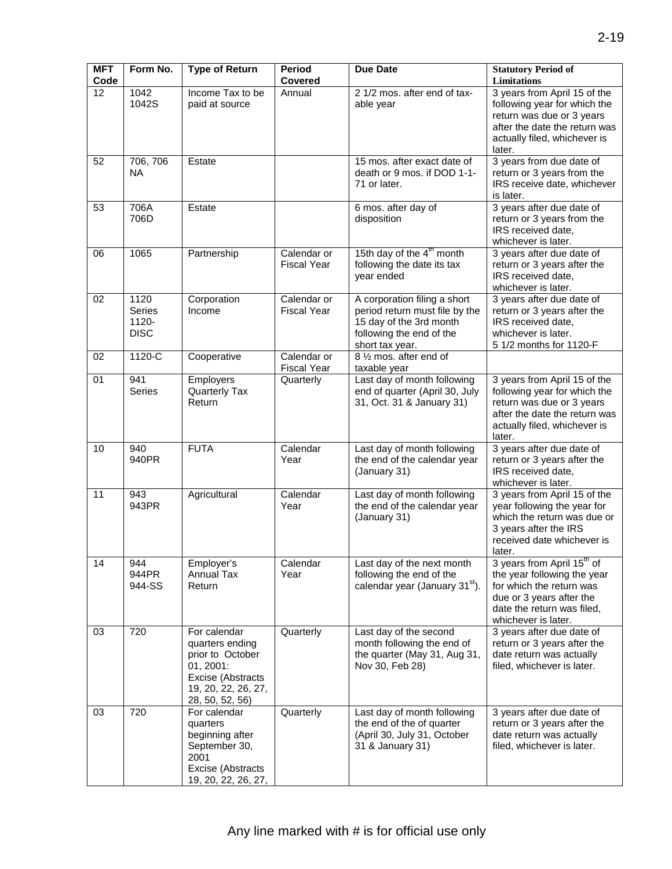| <b>MFT</b><br>Code | Form No.                               | <b>Type of Return</b>                                                                                                           | <b>Period</b><br><b>Covered</b>   | <b>Due Date</b>                                                                                                                          | <b>Statutory Period of</b><br>Limitations                                                                                                                                          |
|--------------------|----------------------------------------|---------------------------------------------------------------------------------------------------------------------------------|-----------------------------------|------------------------------------------------------------------------------------------------------------------------------------------|------------------------------------------------------------------------------------------------------------------------------------------------------------------------------------|
| 12                 | 1042<br>1042S                          | Income Tax to be<br>paid at source                                                                                              | Annual                            | 2 1/2 mos. after end of tax-<br>able year                                                                                                | 3 years from April 15 of the<br>following year for which the<br>return was due or 3 years<br>after the date the return was<br>actually filed, whichever is<br>later.               |
| 52                 | 706, 706<br><b>NA</b>                  | Estate                                                                                                                          |                                   | 15 mos. after exact date of<br>death or 9 mos. if DOD 1-1-<br>71 or later.                                                               | 3 years from due date of<br>return or 3 years from the<br>IRS receive date, whichever<br>is later.                                                                                 |
| 53                 | 706A<br>706D                           | Estate                                                                                                                          |                                   | 6 mos. after day of<br>disposition                                                                                                       | 3 years after due date of<br>return or 3 years from the<br>IRS received date,<br>whichever is later.                                                                               |
| 06                 | 1065                                   | Partnership                                                                                                                     | Calendar or<br><b>Fiscal Year</b> | 15th day of the 4 <sup>th</sup> month<br>following the date its tax<br>year ended                                                        | 3 years after due date of<br>return or 3 years after the<br>IRS received date,<br>whichever is later.                                                                              |
| 02                 | 1120<br>Series<br>1120-<br><b>DISC</b> | Corporation<br>Income                                                                                                           | Calendar or<br><b>Fiscal Year</b> | A corporation filing a short<br>period return must file by the<br>15 day of the 3rd month<br>following the end of the<br>short tax year. | 3 years after due date of<br>return or 3 years after the<br>IRS received date,<br>whichever is later.<br>5 1/2 months for 1120-F                                                   |
| 02                 | 1120-C                                 | Cooperative                                                                                                                     | Calendar or<br><b>Fiscal Year</b> | 8 1/2 mos. after end of<br>taxable year                                                                                                  |                                                                                                                                                                                    |
| 01                 | 941<br>Series                          | Employers<br>Quarterly Tax<br>Return                                                                                            | Quarterly                         | Last day of month following<br>end of quarter (April 30, July<br>31, Oct. 31 & January 31)                                               | 3 years from April 15 of the<br>following year for which the<br>return was due or 3 years<br>after the date the return was<br>actually filed, whichever is<br>later.               |
| 10                 | 940<br>940PR                           | <b>FUTA</b>                                                                                                                     | Calendar<br>Year                  | Last day of month following<br>the end of the calendar year<br>(January 31)                                                              | 3 years after due date of<br>return or 3 years after the<br>IRS received date,<br>whichever is later.                                                                              |
| 11                 | 943<br>943PR                           | Agricultural                                                                                                                    | Calendar<br>Year                  | Last day of month following<br>the end of the calendar year<br>(January 31)                                                              | 3 years from April 15 of the<br>year following the year for<br>which the return was due or<br>3 years after the IRS<br>received date whichever is<br>later.                        |
| 14                 | 944<br>944PR<br>944-SS                 | Employer's<br><b>Annual Tax</b><br>Return                                                                                       | Calendar<br>Year                  | Last day of the next month<br>following the end of the<br>calendar year (January 31 <sup>st</sup> ).                                     | 3 years from April 15 <sup>th</sup> of<br>the year following the year<br>for which the return was<br>due or 3 years after the<br>date the return was filed,<br>whichever is later. |
| 03                 | 720                                    | For calendar<br>quarters ending<br>prior to October<br>01, 2001:<br>Excise (Abstracts<br>19, 20, 22, 26, 27,<br>28, 50, 52, 56) | Quarterly                         | Last day of the second<br>month following the end of<br>the quarter (May 31, Aug 31,<br>Nov 30, Feb 28)                                  | 3 years after due date of<br>return or 3 years after the<br>date return was actually<br>filed, whichever is later.                                                                 |
| 03                 | 720                                    | For calendar<br>quarters<br>beginning after<br>September 30,<br>2001<br>Excise (Abstracts<br>19, 20, 22, 26, 27,                | Quarterly                         | Last day of month following<br>the end of the of quarter<br>(April 30, July 31, October<br>31 & January 31)                              | 3 years after due date of<br>return or 3 years after the<br>date return was actually<br>filed, whichever is later.                                                                 |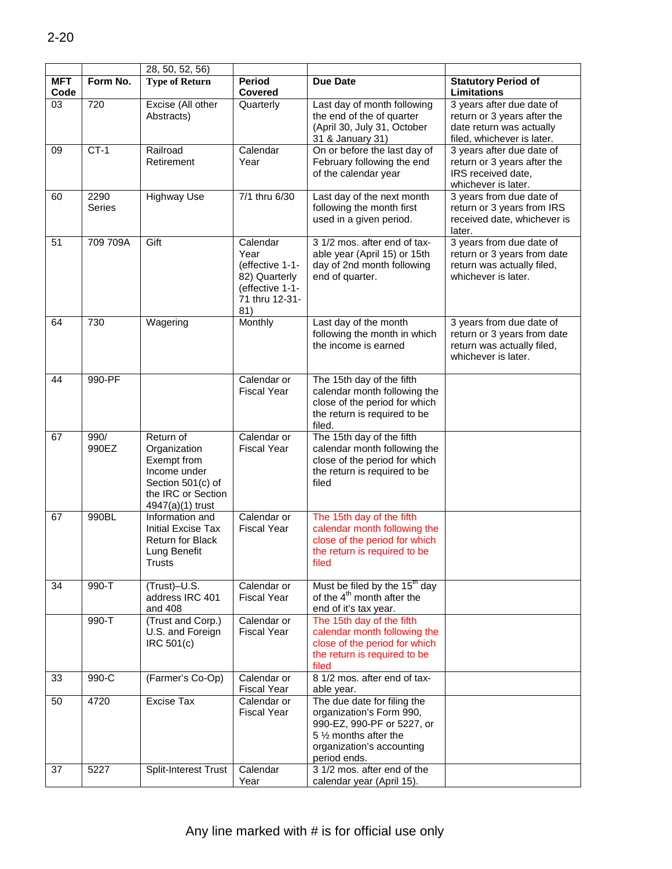|                    |                | 28, 50, 52, 56)                                                                                                         |                                                                                                  |                                                                                                                                                              |                                                                                                                    |
|--------------------|----------------|-------------------------------------------------------------------------------------------------------------------------|--------------------------------------------------------------------------------------------------|--------------------------------------------------------------------------------------------------------------------------------------------------------------|--------------------------------------------------------------------------------------------------------------------|
| <b>MFT</b><br>Code | Form No.       | <b>Type of Return</b>                                                                                                   | <b>Period</b><br><b>Covered</b>                                                                  | <b>Due Date</b>                                                                                                                                              | <b>Statutory Period of</b><br>Limitations                                                                          |
| 03                 | 720            | Excise (All other<br>Abstracts)                                                                                         | Quarterly                                                                                        | Last day of month following<br>the end of the of quarter<br>(April 30, July 31, October<br>31 & January 31)                                                  | 3 years after due date of<br>return or 3 years after the<br>date return was actually<br>filed, whichever is later. |
| 09                 | $CT-1$         | Railroad<br>Retirement                                                                                                  | Calendar<br>Year                                                                                 | On or before the last day of<br>February following the end<br>of the calendar year                                                                           | 3 years after due date of<br>return or 3 years after the<br>IRS received date,<br>whichever is later.              |
| 60                 | 2290<br>Series | <b>Highway Use</b>                                                                                                      | 7/1 thru 6/30                                                                                    | Last day of the next month<br>following the month first<br>used in a given period.                                                                           | 3 years from due date of<br>return or 3 years from IRS<br>received date, whichever is<br>later.                    |
| 51                 | 709 709A       | Gift                                                                                                                    | Calendar<br>Year<br>(effective 1-1-<br>82) Quarterly<br>(effective 1-1-<br>71 thru 12-31-<br>81) | 3 1/2 mos. after end of tax-<br>able year (April 15) or 15th<br>day of 2nd month following<br>end of quarter.                                                | 3 years from due date of<br>return or 3 years from date<br>return was actually filed,<br>whichever is later.       |
| 64                 | 730            | Wagering                                                                                                                | Monthly                                                                                          | Last day of the month<br>following the month in which<br>the income is earned                                                                                | 3 years from due date of<br>return or 3 years from date<br>return was actually filed,<br>whichever is later.       |
| 44                 | 990-PF         |                                                                                                                         | Calendar or<br><b>Fiscal Year</b>                                                                | The 15th day of the fifth<br>calendar month following the<br>close of the period for which<br>the return is required to be<br>filed.                         |                                                                                                                    |
| 67                 | 990/<br>990EZ  | Return of<br>Organization<br>Exempt from<br>Income under<br>Section 501(c) of<br>the IRC or Section<br>4947(a)(1) trust | Calendar or<br><b>Fiscal Year</b>                                                                | The 15th day of the fifth<br>calendar month following the<br>close of the period for which<br>the return is required to be<br>filed                          |                                                                                                                    |
| 67                 | 990BL          | Information and<br><b>Initial Excise Tax</b><br><b>Return for Black</b><br>Lung Benefit<br><b>Trusts</b>                | Calendar or<br><b>Fiscal Year</b>                                                                | The 15th day of the fifth<br>calendar month following the<br>close of the period for which<br>the return is required to be<br>filed                          |                                                                                                                    |
| 34                 | $990 - T$      | (Trust)-U.S.<br>address IRC 401<br>and 408                                                                              | Calendar or<br><b>Fiscal Year</b>                                                                | Must be filed by the $15^{\text{m}}$ day<br>of the 4 <sup>th</sup> month after the<br>end of it's tax year.                                                  |                                                                                                                    |
|                    | 990-T          | (Trust and Corp.)<br>U.S. and Foreign<br>IRC 501(c)                                                                     | Calendar or<br><b>Fiscal Year</b>                                                                | The 15th day of the fifth<br>calendar month following the<br>close of the period for which<br>the return is required to be<br>filed                          |                                                                                                                    |
| 33                 | 990-C          | (Farmer's Co-Op)                                                                                                        | Calendar or<br><b>Fiscal Year</b>                                                                | 8 1/2 mos. after end of tax-<br>able year.                                                                                                                   |                                                                                                                    |
| 50                 | 4720           | <b>Excise Tax</b>                                                                                                       | Calendar or<br><b>Fiscal Year</b>                                                                | The due date for filing the<br>organization's Form 990,<br>990-EZ, 990-PF or 5227, or<br>5 1/2 months after the<br>organization's accounting<br>period ends. |                                                                                                                    |
| 37                 | 5227           | Split-Interest Trust                                                                                                    | Calendar<br>Year                                                                                 | 3 1/2 mos. after end of the<br>calendar year (April 15).                                                                                                     |                                                                                                                    |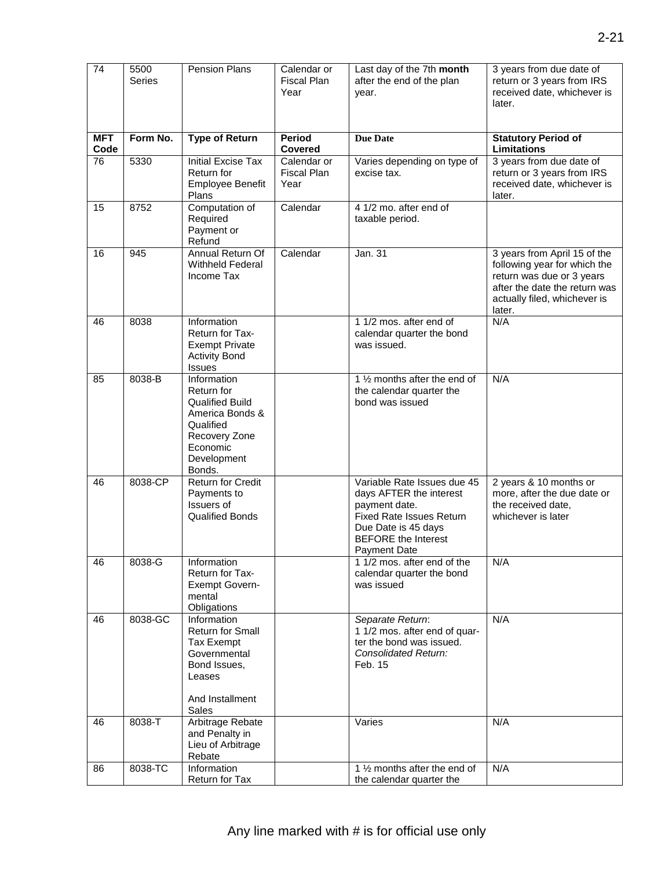| 74                 | 5500<br><b>Series</b> | <b>Pension Plans</b>                                                                                                                      | Calendar or<br>Fiscal Plan<br>Year        | Last day of the 7th month<br>after the end of the plan<br>year.                                                                                                                 | 3 years from due date of<br>return or 3 years from IRS<br>received date, whichever is<br>later.                                                                      |
|--------------------|-----------------------|-------------------------------------------------------------------------------------------------------------------------------------------|-------------------------------------------|---------------------------------------------------------------------------------------------------------------------------------------------------------------------------------|----------------------------------------------------------------------------------------------------------------------------------------------------------------------|
| <b>MFT</b><br>Code | Form No.              | <b>Type of Return</b>                                                                                                                     | Period<br><b>Covered</b>                  | <b>Due Date</b>                                                                                                                                                                 | <b>Statutory Period of</b><br>Limitations                                                                                                                            |
| 76                 | 5330                  | <b>Initial Excise Tax</b><br>Return for<br>Employee Benefit<br>Plans                                                                      | Calendar or<br><b>Fiscal Plan</b><br>Year | Varies depending on type of<br>excise tax.                                                                                                                                      | 3 years from due date of<br>return or 3 years from IRS<br>received date, whichever is<br>later.                                                                      |
| 15                 | 8752                  | Computation of<br>Required<br>Payment or<br>Refund                                                                                        | Calendar                                  | 4 1/2 mo. after end of<br>taxable period.                                                                                                                                       |                                                                                                                                                                      |
| 16                 | 945                   | Annual Return Of<br><b>Withheld Federal</b><br>Income Tax                                                                                 | Calendar                                  | Jan. 31                                                                                                                                                                         | 3 years from April 15 of the<br>following year for which the<br>return was due or 3 years<br>after the date the return was<br>actually filed, whichever is<br>later. |
| 46                 | 8038                  | Information<br>Return for Tax-<br><b>Exempt Private</b><br><b>Activity Bond</b><br>Issues                                                 |                                           | 1 1/2 mos. after end of<br>calendar quarter the bond<br>was issued.                                                                                                             | N/A                                                                                                                                                                  |
| 85                 | 8038-B                | Information<br>Return for<br><b>Qualified Build</b><br>America Bonds &<br>Qualified<br>Recovery Zone<br>Economic<br>Development<br>Bonds. |                                           | 1 1/2 months after the end of<br>the calendar quarter the<br>bond was issued                                                                                                    | N/A                                                                                                                                                                  |
| 46                 | 8038-CP               | <b>Return for Credit</b><br>Payments to<br>Issuers of<br><b>Qualified Bonds</b>                                                           |                                           | Variable Rate Issues due 45<br>days AFTER the interest<br>payment date.<br><b>Fixed Rate Issues Return</b><br>Due Date is 45 days<br><b>BEFORE</b> the Interest<br>Payment Date | 2 years & 10 months or<br>more, after the due date or<br>the received date,<br>whichever is later                                                                    |
| 46                 | 8038-G                | Information<br>Return for Tax-<br><b>Exempt Govern-</b><br>mental<br>Obligations                                                          |                                           | 1 1/2 mos. after end of the<br>calendar quarter the bond<br>was issued                                                                                                          | N/A                                                                                                                                                                  |
| 46                 | 8038-GC               | Information<br><b>Return for Small</b><br>Tax Exempt<br>Governmental<br>Bond Issues,<br>Leases<br>And Installment<br>Sales                |                                           | Separate Return:<br>1 1/2 mos. after end of quar-<br>ter the bond was issued.<br>Consolidated Return:<br>Feb. 15                                                                | N/A                                                                                                                                                                  |
| 46                 | 8038-T                | Arbitrage Rebate<br>and Penalty in<br>Lieu of Arbitrage<br>Rebate                                                                         |                                           | Varies                                                                                                                                                                          | N/A                                                                                                                                                                  |
| 86                 | 8038-TC               | Information<br>Return for Tax                                                                                                             |                                           | 1 1/2 months after the end of<br>the calendar quarter the                                                                                                                       | N/A                                                                                                                                                                  |